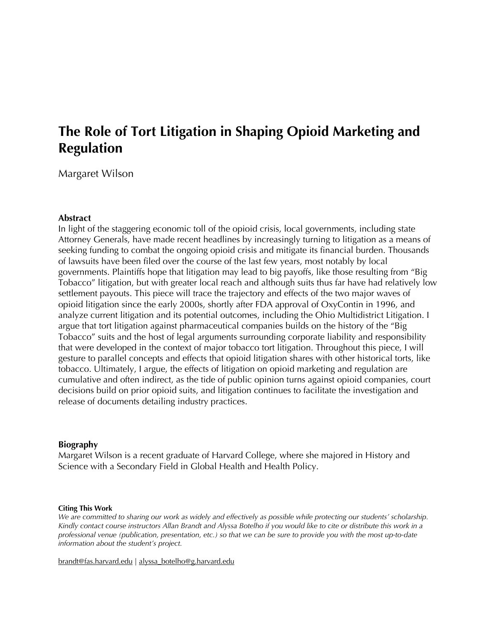# **The Role of Tort Litigation in Shaping Opioid Marketing and Regulation**

Margaret Wilson

# **Abstract**

In light of the staggering economic toll of the opioid crisis, local governments, including state Attorney Generals, have made recent headlines by increasingly turning to litigation as a means of seeking funding to combat the ongoing opioid crisis and mitigate its financial burden. Thousands of lawsuits have been filed over the course of the last few years, most notably by local governments. Plaintiffs hope that litigation may lead to big payoffs, like those resulting from "Big Tobacco" litigation, but with greater local reach and although suits thus far have had relatively low settlement payouts. This piece will trace the trajectory and effects of the two major waves of opioid litigation since the early 2000s, shortly after FDA approval of OxyContin in 1996, and analyze current litigation and its potential outcomes, including the Ohio Multidistrict Litigation. I argue that tort litigation against pharmaceutical companies builds on the history of the "Big Tobacco" suits and the host of legal arguments surrounding corporate liability and responsibility that were developed in the context of major tobacco tort litigation. Throughout this piece, I will gesture to parallel concepts and effects that opioid litigation shares with other historical torts, like tobacco. Ultimately, I argue, the effects of litigation on opioid marketing and regulation are cumulative and often indirect, as the tide of public opinion turns against opioid companies, court decisions build on prior opioid suits, and litigation continues to facilitate the investigation and release of documents detailing industry practices.

#### **Biography**

Margaret Wilson is a recent graduate of Harvard College, where she majored in History and Science with a Secondary Field in Global Health and Health Policy.

#### **Citing This Work**

We are committed to sharing our work as widely and effectively as possible while protecting our students' scholarship. Kindly contact course instructors Allan Brandt and Alyssa Botelho if you would like to cite or distribute this work in a professional venue (publication, presentation, etc.) so that we can be sure to provide you with the most up-to-date *information about the student's project.*

brandt@fas.harvard.edu | alyssa\_botelho@g.harvard.edu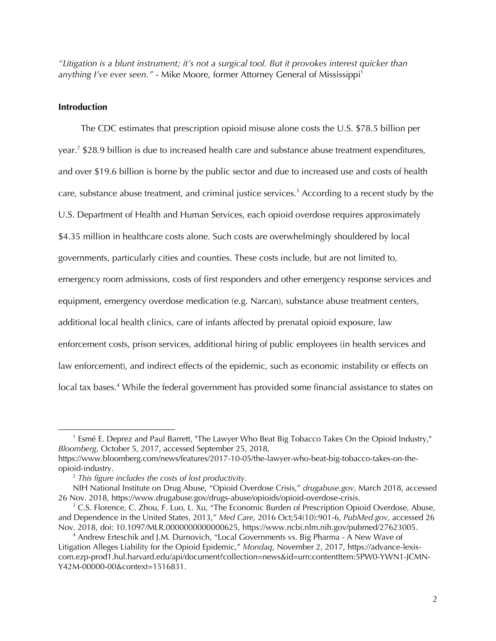*"Litigation is a blunt instrument; it's not a surgical tool. But it provokes interest quicker than anything I've ever seen.*" - Mike Moore, former Attorney General of Mississippi<sup>1</sup>

#### **Introduction**

 $\overline{a}$ 

The CDC estimates that prescription opioid misuse alone costs the U.S. \$78.5 billion per year.2 \$28.9 billion is due to increased health care and substance abuse treatment expenditures, and over \$19.6 billion is borne by the public sector and due to increased use and costs of health care, substance abuse treatment, and criminal justice services.<sup>3</sup> According to a recent study by the U.S. Department of Health and Human Services, each opioid overdose requires approximately \$4.35 million in healthcare costs alone. Such costs are overwhelmingly shouldered by local governments, particularly cities and counties. These costs include, but are not limited to, emergency room admissions, costs of first responders and other emergency response services and equipment, emergency overdose medication (e.g. Narcan), substance abuse treatment centers, additional local health clinics, care of infants affected by prenatal opioid exposure, law enforcement costs, prison services, additional hiring of public employees (in health services and law enforcement), and indirect effects of the epidemic, such as economic instability or effects on local tax bases.<sup>4</sup> While the federal government has provided some financial assistance to states on

<sup>&</sup>lt;sup>1</sup> Esmé E. Deprez and Paul Barrett, "The Lawyer Who Beat Big Tobacco Takes On the Opioid Industry," *Bloomberg*, October 5, 2017, accessed September 25, 2018,

https://www.bloomberg.com/news/features/2017-10-05/the-lawyer-who-beat-big-tobacco-takes-on-theopioid-industry.

<sup>2</sup> *This figure includes the costs of lost productivity.*

NIH National Institute on Drug Abuse, "Opioid Overdose Crisis," *drugabuse.gov*, March 2018, accessed 26 Nov. 2018, https://www.drugabuse.gov/drugs-abuse/opioids/opioid-overdose-crisis.

<sup>&</sup>lt;sup>3</sup> C.S. Florence, C. Zhou, F. Luo, L. Xu, "The Economic Burden of Prescription Opioid Overdose, Abuse, and Dependence in the United States, 2013," *Med Care,* 2016 Oct;54(10):901-6, *PubMed.gov,* accessed 26 Nov. 2018, doi: 10.1097/MLR.0000000000000625, https://www.ncbi.nlm.nih.gov/pubmed/27623005.

<sup>4</sup> Andrew Erteschik and J.M. Durnovich, "Local Governments vs. Big Pharma - A New Wave of Litigation Alleges Liability for the Opioid Epidemic," *Mondaq,* November 2, 2017, https://advance-lexiscom.ezp-prod1.hul.harvard.edu/api/document?collection=news&id=urn:contentItem:5PW0-YWN1-JCMN-Y42M-00000-00&context=1516831.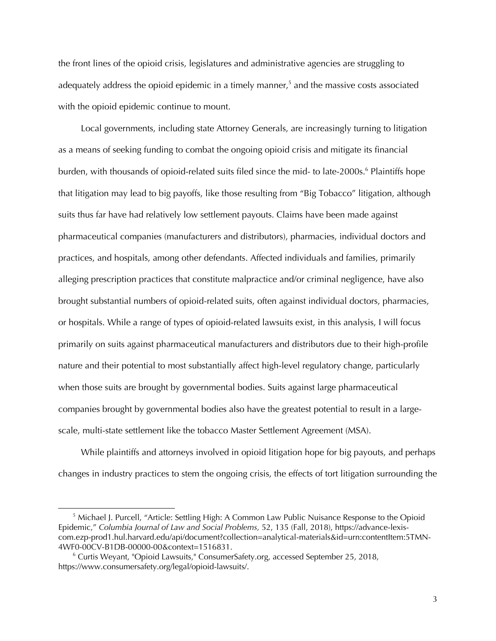the front lines of the opioid crisis, legislatures and administrative agencies are struggling to adequately address the opioid epidemic in a timely manner,<sup>5</sup> and the massive costs associated with the opioid epidemic continue to mount.

Local governments, including state Attorney Generals, are increasingly turning to litigation as a means of seeking funding to combat the ongoing opioid crisis and mitigate its financial burden, with thousands of opioid-related suits filed since the mid- to late-2000s.<sup>6</sup> Plaintiffs hope that litigation may lead to big payoffs, like those resulting from "Big Tobacco" litigation, although suits thus far have had relatively low settlement payouts. Claims have been made against pharmaceutical companies (manufacturers and distributors), pharmacies, individual doctors and practices, and hospitals, among other defendants. Affected individuals and families, primarily alleging prescription practices that constitute malpractice and/or criminal negligence, have also brought substantial numbers of opioid-related suits, often against individual doctors, pharmacies, or hospitals. While a range of types of opioid-related lawsuits exist, in this analysis, I will focus primarily on suits against pharmaceutical manufacturers and distributors due to their high-profile nature and their potential to most substantially affect high-level regulatory change, particularly when those suits are brought by governmental bodies. Suits against large pharmaceutical companies brought by governmental bodies also have the greatest potential to result in a largescale, multi-state settlement like the tobacco Master Settlement Agreement (MSA).

While plaintiffs and attorneys involved in opioid litigation hope for big payouts, and perhaps changes in industry practices to stem the ongoing crisis, the effects of tort litigation surrounding the

<sup>&</sup>lt;sup>5</sup> Michael J. Purcell, "Article: Settling High: A Common Law Public Nuisance Response to the Opioid Epidemic," *Columbia Journal of Law and Social Problems,* 52, 135 (Fall, 2018), https://advance-lexiscom.ezp-prod1.hul.harvard.edu/api/document?collection=analytical-materials&id=urn:contentItem:5TMN-4WF0-00CV-B1DB-00000-00&context=1516831.

<sup>6</sup> Curtis Weyant, "Opioid Lawsuits," ConsumerSafety.org, accessed September 25, 2018, https://www.consumersafety.org/legal/opioid-lawsuits/.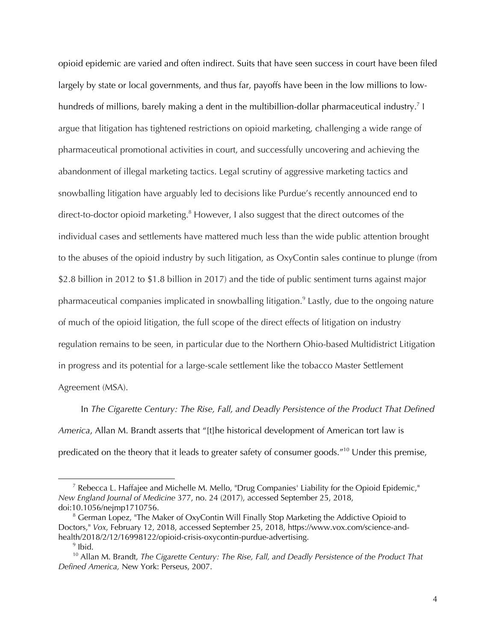opioid epidemic are varied and often indirect. Suits that have seen success in court have been filed largely by state or local governments, and thus far, payoffs have been in the low millions to lowhundreds of millions, barely making a dent in the multibillion-dollar pharmaceutical industry.<sup>7</sup> I argue that litigation has tightened restrictions on opioid marketing, challenging a wide range of pharmaceutical promotional activities in court, and successfully uncovering and achieving the abandonment of illegal marketing tactics. Legal scrutiny of aggressive marketing tactics and snowballing litigation have arguably led to decisions like Purdue's recently announced end to direct-to-doctor opioid marketing.<sup>8</sup> However, I also suggest that the direct outcomes of the individual cases and settlements have mattered much less than the wide public attention brought to the abuses of the opioid industry by such litigation, as OxyContin sales continue to plunge (from \$2.8 billion in 2012 to \$1.8 billion in 2017) and the tide of public sentiment turns against major pharmaceutical companies implicated in snowballing litigation.<sup>9</sup> Lastly, due to the ongoing nature of much of the opioid litigation, the full scope of the direct effects of litigation on industry regulation remains to be seen, in particular due to the Northern Ohio-based Multidistrict Litigation in progress and its potential for a large-scale settlement like the tobacco Master Settlement Agreement (MSA).

In *The Cigarette Century: The Rise, Fall, and Deadly Persistence of the Product That Defined America*, Allan M. Brandt asserts that "[t]he historical development of American tort law is predicated on the theory that it leads to greater safety of consumer goods."<sup>10</sup> Under this premise,

<sup>&</sup>lt;sup>7</sup> Rebecca L. Haffajee and Michelle M. Mello, "Drug Companies' Liability for the Opioid Epidemic," *New England Journal of Medicine* 377, no. 24 (2017), accessed September 25, 2018, doi:10.1056/nejmp1710756.

 $8$  German Lopez, "The Maker of OxyContin Will Finally Stop Marketing the Addictive Opioid to Doctors," *Vox*, February 12, 2018, accessed September 25, 2018, https://www.vox.com/science-andhealth/2018/2/12/16998122/opioid-crisis-oxycontin-purdue-advertising.

 $9$  Ibid.

<sup>10</sup> Allan M. Brandt, *The Cigarette Century: The Rise, Fall, and Deadly Persistence of the Product That Defined America,* New York: Perseus, 2007.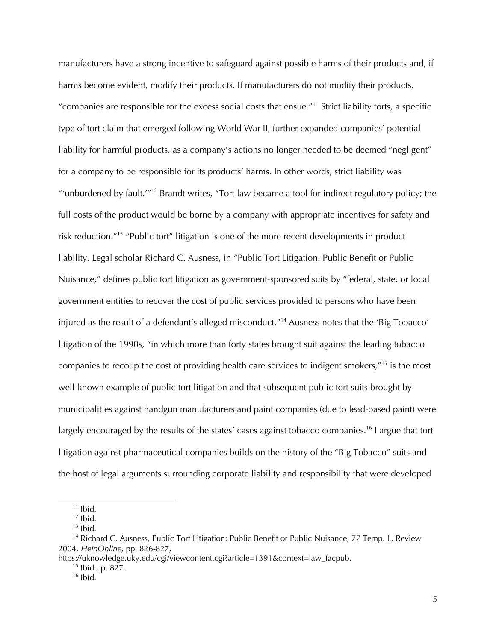manufacturers have a strong incentive to safeguard against possible harms of their products and, if harms become evident, modify their products. If manufacturers do not modify their products, "companies are responsible for the excess social costs that ensue."<sup>11</sup> Strict liability torts, a specific type of tort claim that emerged following World War II, further expanded companies' potential liability for harmful products, as a company's actions no longer needed to be deemed "negligent" for a company to be responsible for its products' harms. In other words, strict liability was "'unburdened by fault.'"12 Brandt writes, "Tort law became a tool for indirect regulatory policy; the full costs of the product would be borne by a company with appropriate incentives for safety and risk reduction."13 "Public tort" litigation is one of the more recent developments in product liability. Legal scholar Richard C. Ausness, in "Public Tort Litigation: Public Benefit or Public Nuisance," defines public tort litigation as government-sponsored suits by "federal, state, or local government entities to recover the cost of public services provided to persons who have been injured as the result of a defendant's alleged misconduct."<sup>14</sup> Ausness notes that the 'Big Tobacco' litigation of the 1990s, "in which more than forty states brought suit against the leading tobacco companies to recoup the cost of providing health care services to indigent smokers,"15 is the most well-known example of public tort litigation and that subsequent public tort suits brought by municipalities against handgun manufacturers and paint companies (due to lead-based paint) were largely encouraged by the results of the states' cases against tobacco companies.<sup>16</sup> I argue that tort litigation against pharmaceutical companies builds on the history of the "Big Tobacco" suits and the host of legal arguments surrounding corporate liability and responsibility that were developed

 $11$  Ibid.

 $12$  lbid.

 $13$  Ibid.

<sup>&</sup>lt;sup>14</sup> Richard C. Ausness, Public Tort Litigation: Public Benefit or Public Nuisance, 77 Temp. L. Review 2004, *HeinOnline,* pp. 826-827,

https://uknowledge.uky.edu/cgi/viewcontent.cgi?article=1391&context=law\_facpub.

 $15$  Ibid., p. 827.

 $16$  Ibid.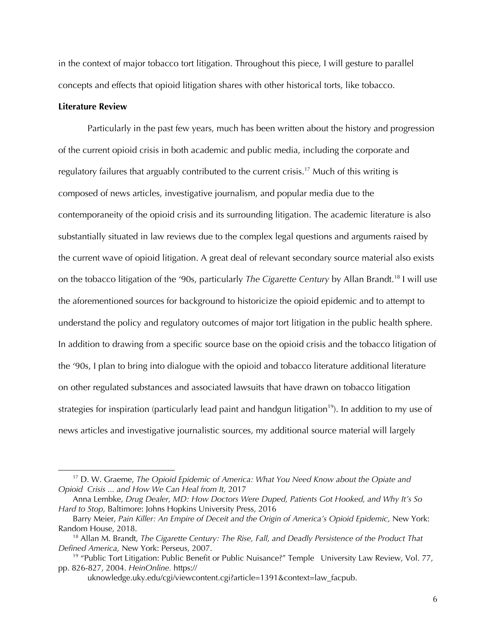in the context of major tobacco tort litigation. Throughout this piece, I will gesture to parallel concepts and effects that opioid litigation shares with other historical torts, like tobacco.

# **Literature Review**

 $\overline{a}$ 

Particularly in the past few years, much has been written about the history and progression of the current opioid crisis in both academic and public media, including the corporate and regulatory failures that arguably contributed to the current crisis.<sup>17</sup> Much of this writing is composed of news articles, investigative journalism, and popular media due to the contemporaneity of the opioid crisis and its surrounding litigation. The academic literature is also substantially situated in law reviews due to the complex legal questions and arguments raised by the current wave of opioid litigation. A great deal of relevant secondary source material also exists on the tobacco litigation of the '90s, particularly *The Cigarette Century* by Allan Brandt.<sup>18</sup> I will use the aforementioned sources for background to historicize the opioid epidemic and to attempt to understand the policy and regulatory outcomes of major tort litigation in the public health sphere. In addition to drawing from a specific source base on the opioid crisis and the tobacco litigation of the '90s, I plan to bring into dialogue with the opioid and tobacco literature additional literature on other regulated substances and associated lawsuits that have drawn on tobacco litigation strategies for inspiration (particularly lead paint and handgun litigation<sup>19</sup>). In addition to my use of news articles and investigative journalistic sources, my additional source material will largely

uknowledge.uky.edu/cgi/viewcontent.cgi?article=1391&context=law\_facpub.

<sup>17</sup> D. W. Graeme, *The Opioid Epidemic of America: What You Need Know about the Opiate and Opioid Crisis ... and How We Can Heal from It,* 2017

Anna Lembke, *Drug Dealer, MD: How Doctors Were Duped, Patients Got Hooked, and Why It's So Hard to Stop*, Baltimore: Johns Hopkins University Press, 2016

Barry Meier, *Pain Killer: An Empire of Deceit and the Origin of America's Opioid Epidemic,* New York: Random House, 2018.

<sup>18</sup> Allan M. Brandt, *The Cigarette Century: The Rise, Fall, and Deadly Persistence of the Product That Defined America,* New York: Perseus, 2007.

<sup>&</sup>lt;sup>19</sup> "Public Tort Litigation: Public Benefit or Public Nuisance?" Temple University Law Review, Vol. 77, pp. 826-827, 2004. *HeinOnline.* https://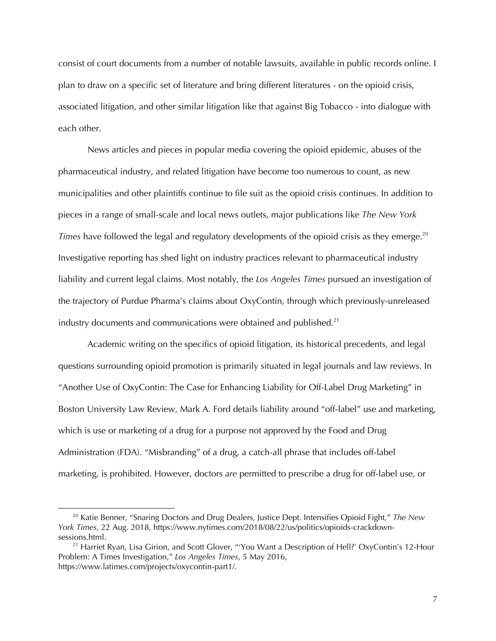consist of court documents from a number of notable lawsuits, available in public records online. I plan to draw on a specific set of literature and bring different literatures - on the opioid crisis, associated litigation, and other similar litigation like that against Big Tobacco - into dialogue with each other.

News articles and pieces in popular media covering the opioid epidemic, abuses of the pharmaceutical industry, and related litigation have become too numerous to count, as new municipalities and other plaintiffs continue to file suit as the opioid crisis continues. In addition to pieces in a range of small-scale and local news outlets, major publications like *The New York Times* have followed the legal and regulatory developments of the opioid crisis as they emerge.<sup>20</sup> Investigative reporting has shed light on industry practices relevant to pharmaceutical industry liability and current legal claims. Most notably, the *Los Angeles Times* pursued an investigation of the trajectory of Purdue Pharma's claims about OxyContin, through which previously-unreleased industry documents and communications were obtained and published. $21$ 

Academic writing on the specifics of opioid litigation, its historical precedents, and legal questions surrounding opioid promotion is primarily situated in legal journals and law reviews. In "Another Use of OxyContin: The Case for Enhancing Liability for Off-Label Drug Marketing" in Boston University Law Review, Mark A. Ford details liability around "off-label" use and marketing, which is use or marketing of a drug for a purpose not approved by the Food and Drug Administration (FDA). "Misbranding" of a drug, a catch-all phrase that includes off-label marketing, is prohibited. However, doctors *are* permitted to prescribe a drug for off-label use, or

<sup>20</sup> Katie Benner, "Snaring Doctors and Drug Dealers, Justice Dept. Intensifies Opioid Fight," *The New York Times*, 22 Aug. 2018, https://www.nytimes.com/2018/08/22/us/politics/opioids-crackdownsessions.html.

<sup>&</sup>lt;sup>21</sup> Harriet Ryan, Lisa Girion, and Scott Glover, "'You Want a Description of Hell?' OxyContin's 12-Hour Problem: A Times Investigation," *Los Angeles Times*, 5 May 2016, https://www.latimes.com/projects/oxycontin-part1/.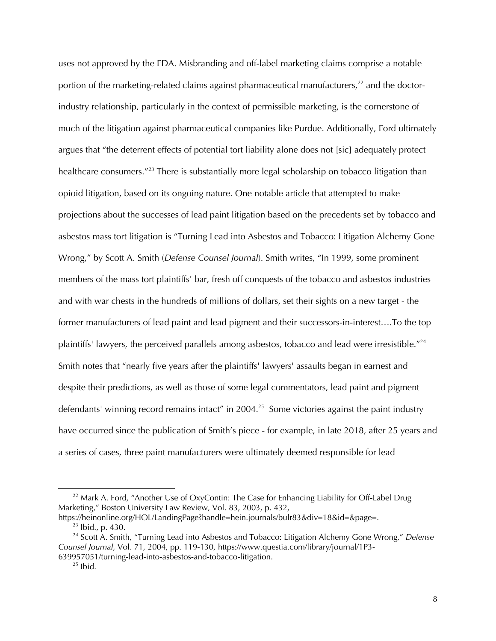uses not approved by the FDA. Misbranding and off-label marketing claims comprise a notable portion of the marketing-related claims against pharmaceutical manufacturers, $^{22}$  and the doctorindustry relationship, particularly in the context of permissible marketing, is the cornerstone of much of the litigation against pharmaceutical companies like Purdue. Additionally, Ford ultimately argues that "the deterrent effects of potential tort liability alone does not [sic] adequately protect healthcare consumers.<sup>"23</sup> There is substantially more legal scholarship on tobacco litigation than opioid litigation, based on its ongoing nature. One notable article that attempted to make projections about the successes of lead paint litigation based on the precedents set by tobacco and asbestos mass tort litigation is "Turning Lead into Asbestos and Tobacco: Litigation Alchemy Gone Wrong," by Scott A. Smith (*Defense Counsel Journal*). Smith writes, "In 1999, some prominent members of the mass tort plaintiffs' bar, fresh off conquests of the tobacco and asbestos industries and with war chests in the hundreds of millions of dollars, set their sights on a new target - the former manufacturers of lead paint and lead pigment and their successors-in-interest….To the top plaintiffs' lawyers, the perceived parallels among asbestos, tobacco and lead were irresistible."<sup>24</sup> Smith notes that "nearly five years after the plaintiffs' lawyers' assaults began in earnest and despite their predictions, as well as those of some legal commentators, lead paint and pigment defendants' winning record remains intact" in 2004.<sup>25</sup> Some victories against the paint industry have occurred since the publication of Smith's piece - for example, in late 2018, after 25 years and a series of cases, three paint manufacturers were ultimately deemed responsible for lead

<sup>&</sup>lt;sup>22</sup> Mark A. Ford, "Another Use of OxyContin: The Case for Enhancing Liability for Off-Label Drug Marketing," Boston University Law Review, Vol. 83, 2003, p. 432,

https://heinonline.org/HOL/LandingPage?handle=hein.journals/bulr83&div=18&id=&page=.  $23$  Ibid., p. 430.

<sup>24</sup> Scott A. Smith, "Turning Lead into Asbestos and Tobacco: Litigation Alchemy Gone Wrong," *Defense Counsel Journal*, Vol. 71, 2004, pp. 119-130, https://www.questia.com/library/journal/1P3- 639957051/turning-lead-into-asbestos-and-tobacco-litigation.

 $25$  Ibid.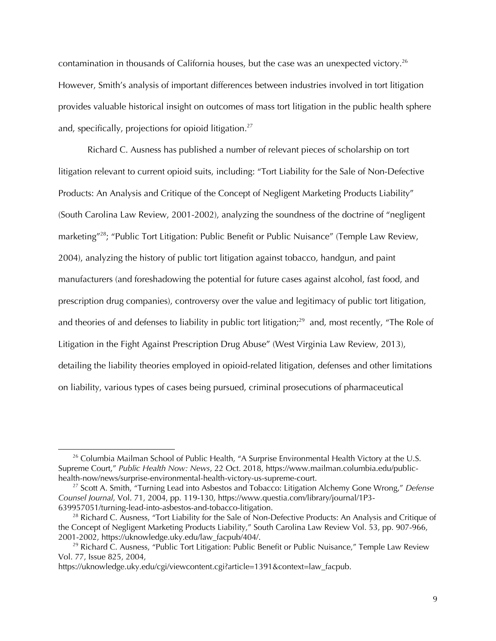contamination in thousands of California houses, but the case was an unexpected victory.<sup>26</sup> However, Smith's analysis of important differences between industries involved in tort litigation provides valuable historical insight on outcomes of mass tort litigation in the public health sphere and, specifically, projections for opioid litigation.<sup>27</sup>

Richard C. Ausness has published a number of relevant pieces of scholarship on tort litigation relevant to current opioid suits, including: "Tort Liability for the Sale of Non-Defective Products: An Analysis and Critique of the Concept of Negligent Marketing Products Liability" (South Carolina Law Review, 2001-2002), analyzing the soundness of the doctrine of "negligent marketing"<sup>28</sup>; "Public Tort Litigation: Public Benefit or Public Nuisance" (Temple Law Review, 2004), analyzing the history of public tort litigation against tobacco, handgun, and paint manufacturers (and foreshadowing the potential for future cases against alcohol, fast food, and prescription drug companies), controversy over the value and legitimacy of public tort litigation, and theories of and defenses to liability in public tort litigation;<sup>29</sup> and, most recently, "The Role of Litigation in the Fight Against Prescription Drug Abuse" (West Virginia Law Review, 2013), detailing the liability theories employed in opioid-related litigation, defenses and other limitations on liability, various types of cases being pursued, criminal prosecutions of pharmaceutical

 $26$  Columbia Mailman School of Public Health, "A Surprise Environmental Health Victory at the U.S. Supreme Court," *Public Health Now: News*, 22 Oct. 2018, https://www.mailman.columbia.edu/publichealth-now/news/surprise-environmental-health-victory-us-supreme-court.

<sup>27</sup> Scott A. Smith, "Turning Lead into Asbestos and Tobacco: Litigation Alchemy Gone Wrong," *Defense Counsel Journal*, Vol. 71, 2004, pp. 119-130, https://www.questia.com/library/journal/1P3- 639957051/turning-lead-into-asbestos-and-tobacco-litigation.

<sup>&</sup>lt;sup>28</sup> Richard C. Ausness, "Tort Liability for the Sale of Non-Defective Products: An Analysis and Critique of the Concept of Negligent Marketing Products Liability," South Carolina Law Review Vol. 53, pp. 907-966, 2001-2002, https://uknowledge.uky.edu/law\_facpub/404/.

<sup>&</sup>lt;sup>29</sup> Richard C. Ausness, "Public Tort Litigation: Public Benefit or Public Nuisance," Temple Law Review Vol. 77, Issue 825, 2004,

https://uknowledge.uky.edu/cgi/viewcontent.cgi?article=1391&context=law\_facpub.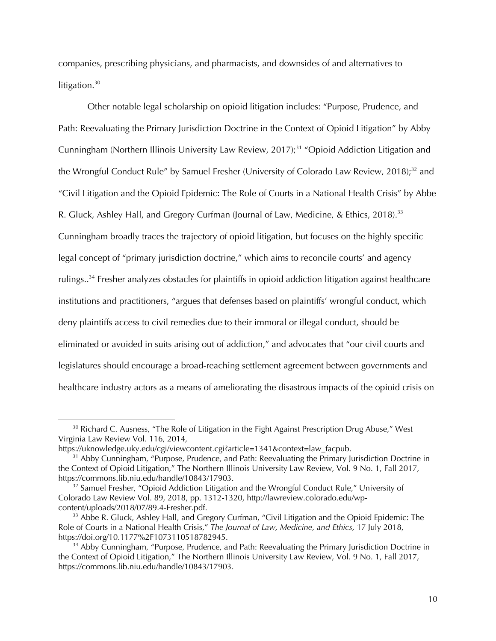companies, prescribing physicians, and pharmacists, and downsides of and alternatives to litigation. $30$ 

Other notable legal scholarship on opioid litigation includes: "Purpose, Prudence, and Path: Reevaluating the Primary Jurisdiction Doctrine in the Context of Opioid Litigation" by Abby Cunningham (Northern Illinois University Law Review, 2017);<sup>31</sup> "Opioid Addiction Litigation and the Wrongful Conduct Rule" by Samuel Fresher (University of Colorado Law Review, 2018);<sup>32</sup> and "Civil Litigation and the Opioid Epidemic: The Role of Courts in a National Health Crisis" by Abbe R. Gluck, Ashley Hall, and Gregory Curfman (Journal of Law, Medicine, & Ethics, 2018).<sup>33</sup> Cunningham broadly traces the trajectory of opioid litigation, but focuses on the highly specific legal concept of "primary jurisdiction doctrine," which aims to reconcile courts' and agency rulings..34 Fresher analyzes obstacles for plaintiffs in opioid addiction litigation against healthcare institutions and practitioners, "argues that defenses based on plaintiffs' wrongful conduct, which deny plaintiffs access to civil remedies due to their immoral or illegal conduct, should be eliminated or avoided in suits arising out of addiction," and advocates that "our civil courts and legislatures should encourage a broad-reaching settlement agreement between governments and healthcare industry actors as a means of ameliorating the disastrous impacts of the opioid crisis on

 $30$  Richard C. Ausness, "The Role of Litigation in the Fight Against Prescription Drug Abuse," West Virginia Law Review Vol. 116, 2014,

https://uknowledge.uky.edu/cgi/viewcontent.cgi?article=1341&context=law\_facpub.

<sup>&</sup>lt;sup>31</sup> Abby Cunningham, "Purpose, Prudence, and Path: Reevaluating the Primary Jurisdiction Doctrine in the Context of Opioid Litigation," The Northern Illinois University Law Review, Vol. 9 No. 1, Fall 2017, https://commons.lib.niu.edu/handle/10843/17903.

<sup>&</sup>lt;sup>32</sup> Samuel Fresher, "Opioid Addiction Litigation and the Wrongful Conduct Rule," University of Colorado Law Review Vol. 89, 2018, pp. 1312-1320, http://lawreview.colorado.edu/wpcontent/uploads/2018/07/89.4-Fresher.pdf.

<sup>&</sup>lt;sup>33</sup> Abbe R. Gluck, Ashley Hall, and Gregory Curfman, "Civil Litigation and the Opioid Epidemic: The Role of Courts in a National Health Crisis," *The Journal of Law, Medicine, and Ethics,* 17 July 2018, https://doi.org/10.1177%2F1073110518782945.

<sup>&</sup>lt;sup>34</sup> Abby Cunningham, "Purpose, Prudence, and Path: Reevaluating the Primary Jurisdiction Doctrine in the Context of Opioid Litigation," The Northern Illinois University Law Review, Vol. 9 No. 1, Fall 2017, https://commons.lib.niu.edu/handle/10843/17903.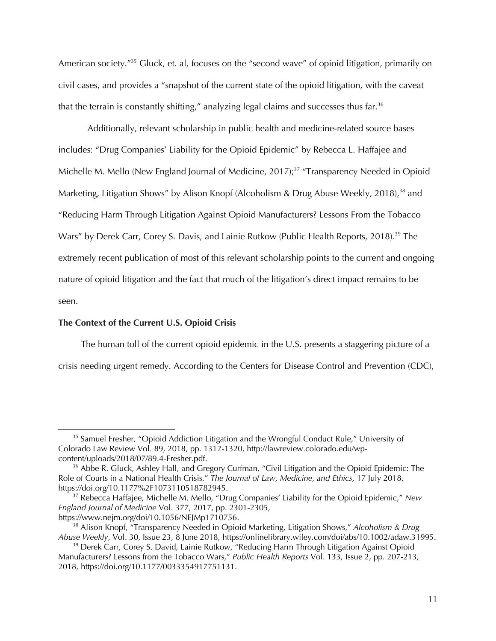American society.<sup>"35</sup> Gluck, et. al, focuses on the "second wave" of opioid litigation, primarily on civil cases, and provides a "snapshot of the current state of the opioid litigation, with the caveat that the terrain is constantly shifting," analyzing legal claims and successes thus far. $36$ 

Additionally, relevant scholarship in public health and medicine-related source bases includes: "Drug Companies' Liability for the Opioid Epidemic" by Rebecca L. Haffajee and Michelle M. Mello (New England Journal of Medicine, 2017);<sup>37</sup> "Transparency Needed in Opioid Marketing, Litigation Shows" by Alison Knopf (Alcoholism & Drug Abuse Weekly, 2018),<sup>38</sup> and "Reducing Harm Through Litigation Against Opioid Manufacturers? Lessons From the Tobacco Wars" by Derek Carr, Corey S. Davis, and Lainie Rutkow (Public Health Reports, 2018).<sup>39</sup> The extremely recent publication of most of this relevant scholarship points to the current and ongoing nature of opioid litigation and the fact that much of the litigation's direct impact remains to be seen.

#### **The Context of the Current U.S. Opioid Crisis**

 $\overline{a}$ 

The human toll of the current opioid epidemic in the U.S. presents a staggering picture of a

crisis needing urgent remedy. According to the Centers for Disease Control and Prevention (CDC),

<sup>&</sup>lt;sup>35</sup> Samuel Fresher, "Opioid Addiction Litigation and the Wrongful Conduct Rule," University of Colorado Law Review Vol. 89, 2018, pp. 1312-1320, http://lawreview.colorado.edu/wpcontent/uploads/2018/07/89.4-Fresher.pdf.

<sup>&</sup>lt;sup>36</sup> Abbe R. Gluck, Ashley Hall, and Gregory Curfman, "Civil Litigation and the Opioid Epidemic: The Role of Courts in a National Health Crisis," *The Journal of Law, Medicine, and Ethics,* 17 July 2018, https://doi.org/10.1177%2F1073110518782945.

<sup>37</sup> Rebecca Haffajee, Michelle M. Mello, "Drug Companies' Liability for the Opioid Epidemic," *New England Journal of Medicine* Vol. 377, 2017, pp. 2301-2305, https://www.nejm.org/doi/10.1056/NEJMp1710756.

<sup>38</sup> Alison Knopf, "Transparency Needed in Opioid Marketing, Litigation Shows," *Alcoholism & Drug Abuse Weekly*, Vol. 30, Issue 23, 8 June 2018, https://onlinelibrary.wiley.com/doi/abs/10.1002/adaw.31995.

<sup>&</sup>lt;sup>39</sup> Derek Carr, Corey S. David, Lainie Rutkow, "Reducing Harm Through Litigation Against Opioid Manufacturers? Lessons from the Tobacco Wars," *Public Health Reports* Vol. 133, Issue 2, pp. 207-213, 2018, https://doi.org/10.1177/0033354917751131.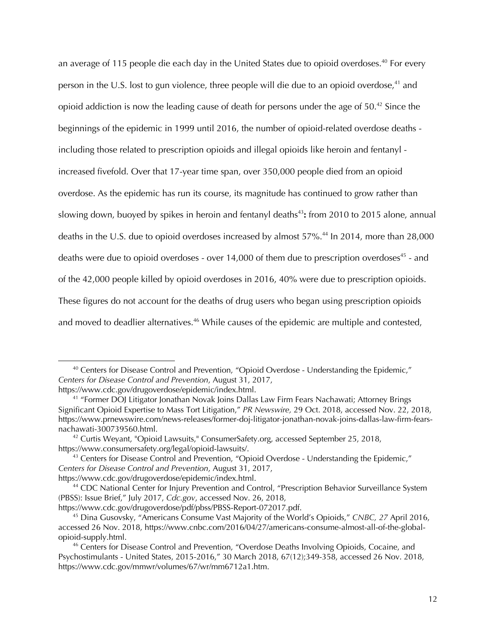an average of 115 people die each day in the United States due to opioid overdoses.<sup>40</sup> For every person in the U.S. lost to gun violence, three people will die due to an opioid overdose,  $41$  and opioid addiction is now the leading cause of death for persons under the age of  $50.^{42}$  Since the beginnings of the epidemic in 1999 until 2016, the number of opioid-related overdose deaths including those related to prescription opioids and illegal opioids like heroin and fentanyl increased fivefold. Over that 17-year time span, over 350,000 people died from an opioid overdose. As the epidemic has run its course, its magnitude has continued to grow rather than slowing down, buoyed by spikes in heroin and fentanyl deaths<sup>43</sup>: from 2010 to 2015 alone, annual deaths in the U.S. due to opioid overdoses increased by almost 57%.<sup>44</sup> In 2014, more than 28,000 deaths were due to opioid overdoses - over  $14,000$  of them due to prescription overdoses<sup>45</sup> - and of the 42,000 people killed by opioid overdoses in 2016, 40% were due to prescription opioids. These figures do not account for the deaths of drug users who began using prescription opioids and moved to deadlier alternatives.<sup>46</sup> While causes of the epidemic are multiple and contested,

 $40$  Centers for Disease Control and Prevention, "Opioid Overdose - Understanding the Epidemic," *Centers for Disease Control and Prevention*, August 31, 2017,

https://www.cdc.gov/drugoverdose/epidemic/index.html.

<sup>&</sup>lt;sup>41</sup> "Former DOJ Litigator Jonathan Novak Joins Dallas Law Firm Fears Nachawati; Attorney Brings Significant Opioid Expertise to Mass Tort Litigation," *PR Newswire,* 29 Oct. 2018, accessed Nov. 22, 2018, https://www.prnewswire.com/news-releases/former-doj-litigator-jonathan-novak-joins-dallas-law-firm-fearsnachawati-300739560.html.

<sup>&</sup>lt;sup>42</sup> Curtis Weyant, "Opioid Lawsuits," ConsumerSafety.org, accessed September 25, 2018, https://www.consumersafety.org/legal/opioid-lawsuits/.

<sup>&</sup>lt;sup>43</sup> Centers for Disease Control and Prevention, "Opioid Overdose - Understanding the Epidemic," *Centers for Disease Control and Prevention*, August 31, 2017, https://www.cdc.gov/drugoverdose/epidemic/index.html.

<sup>&</sup>lt;sup>44</sup> CDC National Center for Injury Prevention and Control, "Prescription Behavior Surveillance System (PBSS): Issue Brief," July 2017, *Cdc.gov*, accessed Nov. 26, 2018,

https://www.cdc.gov/drugoverdose/pdf/pbss/PBSS-Report-072017.pdf.

<sup>45</sup> Dina Gusovsky, "Americans Consume Vast Majority of the World's Opioids," *CNBC, 27* April 2016, accessed 26 Nov. 2018, https://www.cnbc.com/2016/04/27/americans-consume-almost-all-of-the-globalopioid-supply.html.

<sup>46</sup> Centers for Disease Control and Prevention, "Overdose Deaths Involving Opioids, Cocaine, and Psychostimulants - United States, 2015-2016," 30 March 2018, 67(12);349-358, accessed 26 Nov. 2018, https://www.cdc.gov/mmwr/volumes/67/wr/mm6712a1.htm.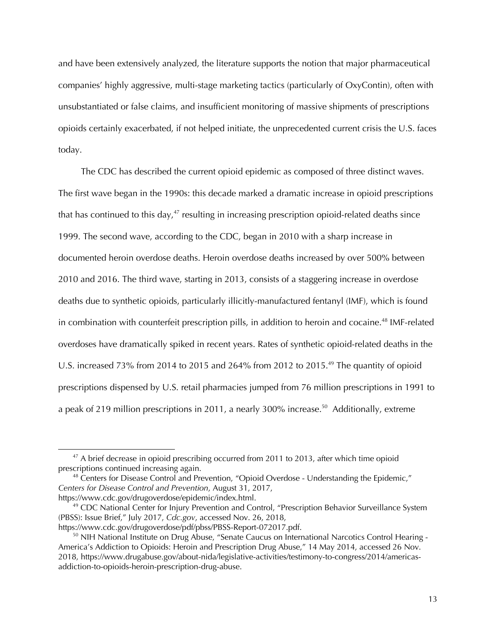and have been extensively analyzed, the literature supports the notion that major pharmaceutical companies' highly aggressive, multi-stage marketing tactics (particularly of OxyContin), often with unsubstantiated or false claims, and insufficient monitoring of massive shipments of prescriptions opioids certainly exacerbated, if not helped initiate, the unprecedented current crisis the U.S. faces today.

The CDC has described the current opioid epidemic as composed of three distinct waves. The first wave began in the 1990s: this decade marked a dramatic increase in opioid prescriptions that has continued to this day, $47$  resulting in increasing prescription opioid-related deaths since 1999. The second wave, according to the CDC, began in 2010 with a sharp increase in documented heroin overdose deaths. Heroin overdose deaths increased by over 500% between 2010 and 2016. The third wave, starting in 2013, consists of a staggering increase in overdose deaths due to synthetic opioids, particularly illicitly-manufactured fentanyl (IMF), which is found in combination with counterfeit prescription pills, in addition to heroin and cocaine.<sup>48</sup> IMF-related overdoses have dramatically spiked in recent years. Rates of synthetic opioid-related deaths in the U.S. increased 73% from 2014 to 2015 and 264% from 2012 to 2015.<sup>49</sup> The quantity of opioid prescriptions dispensed by U.S. retail pharmacies jumped from 76 million prescriptions in 1991 to a peak of 219 million prescriptions in 2011, a nearly 300% increase.<sup>50</sup> Additionally, extreme

 $47$  A brief decrease in opioid prescribing occurred from 2011 to 2013, after which time opioid prescriptions continued increasing again.

<sup>&</sup>lt;sup>48</sup> Centers for Disease Control and Prevention, "Opioid Overdose - Understanding the Epidemic," *Centers for Disease Control and Prevention*, August 31, 2017, https://www.cdc.gov/drugoverdose/epidemic/index.html.

<sup>&</sup>lt;sup>49</sup> CDC National Center for Injury Prevention and Control, "Prescription Behavior Surveillance System (PBSS): Issue Brief," July 2017, *Cdc.gov*, accessed Nov. 26, 2018, https://www.cdc.gov/drugoverdose/pdf/pbss/PBSS-Report-072017.pdf.

<sup>&</sup>lt;sup>50</sup> NIH National Institute on Drug Abuse, "Senate Caucus on International Narcotics Control Hearing -America's Addiction to Opioids: Heroin and Prescription Drug Abuse," 14 May 2014, accessed 26 Nov. 2018, https://www.drugabuse.gov/about-nida/legislative-activities/testimony-to-congress/2014/americasaddiction-to-opioids-heroin-prescription-drug-abuse.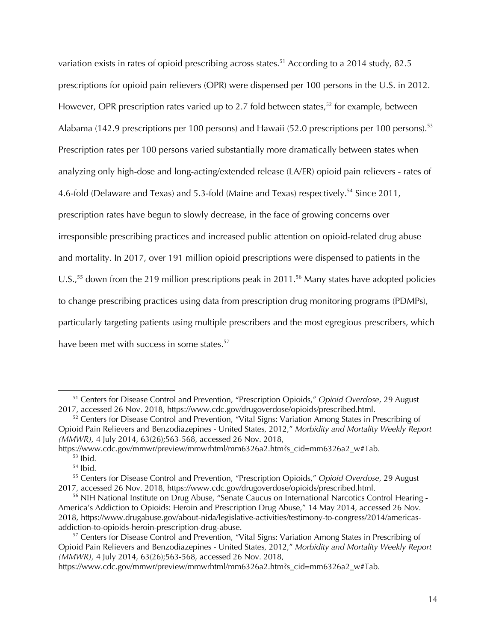variation exists in rates of opioid prescribing across states.<sup>51</sup> According to a 2014 study, 82.5 prescriptions for opioid pain relievers (OPR) were dispensed per 100 persons in the U.S. in 2012. However, OPR prescription rates varied up to 2.7 fold between states,<sup>52</sup> for example, between Alabama (142.9 prescriptions per 100 persons) and Hawaii (52.0 prescriptions per 100 persons).<sup>53</sup> Prescription rates per 100 persons varied substantially more dramatically between states when analyzing only high-dose and long-acting/extended release (LA/ER) opioid pain relievers - rates of 4.6-fold (Delaware and Texas) and 5.3-fold (Maine and Texas) respectively.<sup>54</sup> Since 2011, prescription rates have begun to slowly decrease, in the face of growing concerns over irresponsible prescribing practices and increased public attention on opioid-related drug abuse and mortality. In 2017, over 191 million opioid prescriptions were dispensed to patients in the U.S.,<sup>55</sup> down from the 219 million prescriptions peak in 2011.<sup>56</sup> Many states have adopted policies to change prescribing practices using data from prescription drug monitoring programs (PDMPs), particularly targeting patients using multiple prescribers and the most egregious prescribers, which have been met with success in some states.<sup>57</sup>

<sup>51</sup> Centers for Disease Control and Prevention, "Prescription Opioids," *Opioid Overdose*, 29 August 2017, accessed 26 Nov. 2018, https://www.cdc.gov/drugoverdose/opioids/prescribed.html.

 $52$  Centers for Disease Control and Prevention, "Vital Signs: Variation Among States in Prescribing of Opioid Pain Relievers and Benzodiazepines - United States, 2012," *Morbidity and Mortality Weekly Report (MMWR),* 4 July 2014, 63(26);563-568, accessed 26 Nov. 2018,

https://www.cdc.gov/mmwr/preview/mmwrhtml/mm6326a2.htm?s\_cid=mm6326a2\_w#Tab.  $53$  Ibid.

<sup>54</sup> Ibid.

<sup>55</sup> Centers for Disease Control and Prevention, "Prescription Opioids," *Opioid Overdose*, 29 August 2017, accessed 26 Nov. 2018, https://www.cdc.gov/drugoverdose/opioids/prescribed.html.

<sup>&</sup>lt;sup>56</sup> NIH National Institute on Drug Abuse, "Senate Caucus on International Narcotics Control Hearing -America's Addiction to Opioids: Heroin and Prescription Drug Abuse," 14 May 2014, accessed 26 Nov. 2018, https://www.drugabuse.gov/about-nida/legislative-activities/testimony-to-congress/2014/americasaddiction-to-opioids-heroin-prescription-drug-abuse.

<sup>&</sup>lt;sup>57</sup> Centers for Disease Control and Prevention, "Vital Signs: Variation Among States in Prescribing of Opioid Pain Relievers and Benzodiazepines - United States, 2012," *Morbidity and Mortality Weekly Report (MMWR),* 4 July 2014, 63(26);563-568, accessed 26 Nov. 2018,

https://www.cdc.gov/mmwr/preview/mmwrhtml/mm6326a2.htm?s\_cid=mm6326a2\_w#Tab.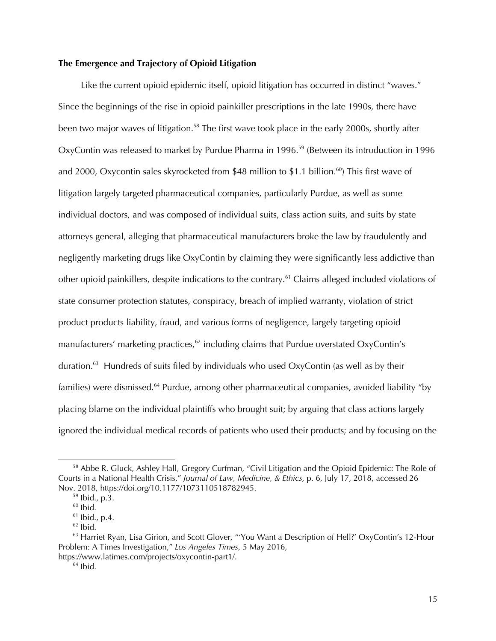# **The Emergence and Trajectory of Opioid Litigation**

Like the current opioid epidemic itself, opioid litigation has occurred in distinct "waves." Since the beginnings of the rise in opioid painkiller prescriptions in the late 1990s, there have been two major waves of litigation.<sup>58</sup> The first wave took place in the early 2000s, shortly after OxyContin was released to market by Purdue Pharma in 1996.<sup>59</sup> (Between its introduction in 1996 and 2000, Oxycontin sales skyrocketed from \$48 million to \$1.1 billion.<sup>60</sup>) This first wave of litigation largely targeted pharmaceutical companies, particularly Purdue, as well as some individual doctors, and was composed of individual suits, class action suits, and suits by state attorneys general, alleging that pharmaceutical manufacturers broke the law by fraudulently and negligently marketing drugs like OxyContin by claiming they were significantly less addictive than other opioid painkillers, despite indications to the contrary.<sup>61</sup> Claims alleged included violations of state consumer protection statutes, conspiracy, breach of implied warranty, violation of strict product products liability, fraud, and various forms of negligence, largely targeting opioid manufacturers' marketing practices, $62$  including claims that Purdue overstated OxyContin's duration.<sup>63</sup> Hundreds of suits filed by individuals who used OxyContin (as well as by their families) were dismissed.<sup>64</sup> Purdue, among other pharmaceutical companies, avoided liability "by placing blame on the individual plaintiffs who brought suit; by arguing that class actions largely ignored the individual medical records of patients who used their products; and by focusing on the

<sup>&</sup>lt;sup>58</sup> Abbe R. Gluck, Ashley Hall, Gregory Curfman, "Civil Litigation and the Opioid Epidemic: The Role of Courts in a National Health Crisis," *Journal of Law, Medicine, & Ethics,* p. 6, July 17, 2018, accessed 26 Nov. 2018, https://doi.org/10.1177/1073110518782945.

<sup>59</sup> Ibid., p.3.

 $60$  Ibid.

 $61$  Ibid., p.4.

 $62$  Ibid.

 $63$  Harriet Ryan, Lisa Girion, and Scott Glover, "You Want a Description of Hell?' OxyContin's 12-Hour Problem: A Times Investigation," *Los Angeles Times*, 5 May 2016, https://www.latimes.com/projects/oxycontin-part1/.

 $64$  Ibid.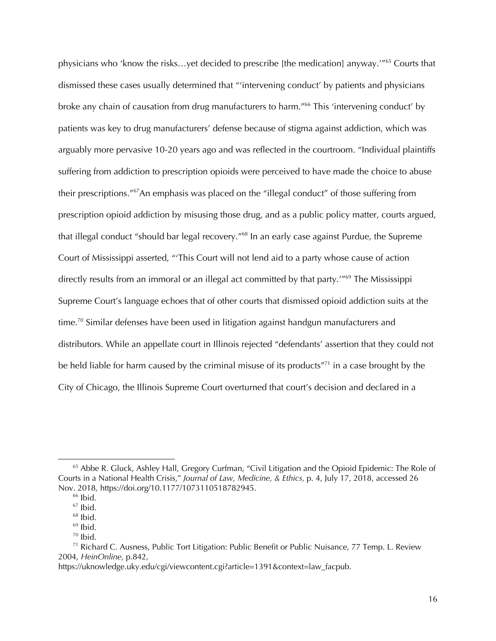physicians who 'know the risks...yet decided to prescribe [the medication] anyway.'"<sup>65</sup> Courts that dismissed these cases usually determined that "'intervening conduct' by patients and physicians broke any chain of causation from drug manufacturers to harm."<sup>66</sup> This 'intervening conduct' by patients was key to drug manufacturers' defense because of stigma against addiction, which was arguably more pervasive 10-20 years ago and was reflected in the courtroom. "Individual plaintiffs suffering from addiction to prescription opioids were perceived to have made the choice to abuse their prescriptions."<sup>67</sup>An emphasis was placed on the "illegal conduct" of those suffering from prescription opioid addiction by misusing those drug, and as a public policy matter, courts argued, that illegal conduct "should bar legal recovery."<sup>68</sup> In an early case against Purdue, the Supreme Court of Mississippi asserted, "'This Court will not lend aid to a party whose cause of action directly results from an immoral or an illegal act committed by that party.<sup>"69</sup> The Mississippi Supreme Court's language echoes that of other courts that dismissed opioid addiction suits at the time.<sup>70</sup> Similar defenses have been used in litigation against handgun manufacturers and distributors. While an appellate court in Illinois rejected "defendants' assertion that they could not be held liable for harm caused by the criminal misuse of its products"<sup>71</sup> in a case brought by the City of Chicago, the Illinois Supreme Court overturned that court's decision and declared in a

<sup>&</sup>lt;sup>65</sup> Abbe R. Gluck, Ashley Hall, Gregory Curfman, "Civil Litigation and the Opioid Epidemic: The Role of Courts in a National Health Crisis," *Journal of Law, Medicine, & Ethics,* p. 4, July 17, 2018, accessed 26 Nov. 2018, https://doi.org/10.1177/1073110518782945.

 $66$  Ibid.

 $67$  Ibid.

 $68$  Ibid.

 $69$  Ibid.

 $70$  Ibid.

 $71$  Richard C. Ausness, Public Tort Litigation: Public Benefit or Public Nuisance, 77 Temp. L. Review 2004, *HeinOnline,* p.842,

https://uknowledge.uky.edu/cgi/viewcontent.cgi?article=1391&context=law\_facpub.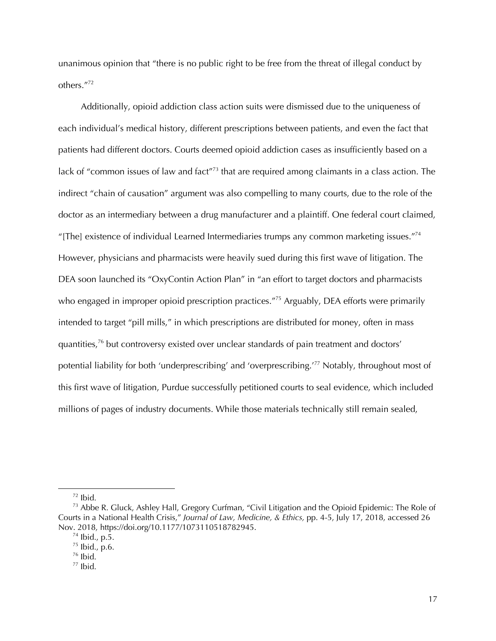unanimous opinion that "there is no public right to be free from the threat of illegal conduct by others."72

Additionally, opioid addiction class action suits were dismissed due to the uniqueness of each individual's medical history, different prescriptions between patients, and even the fact that patients had different doctors. Courts deemed opioid addiction cases as insufficiently based on a lack of "common issues of law and fact"<sup>73</sup> that are required among claimants in a class action. The indirect "chain of causation" argument was also compelling to many courts, due to the role of the doctor as an intermediary between a drug manufacturer and a plaintiff. One federal court claimed, "[The] existence of individual Learned Intermediaries trumps any common marketing issues."74 However, physicians and pharmacists were heavily sued during this first wave of litigation. The DEA soon launched its "OxyContin Action Plan" in "an effort to target doctors and pharmacists who engaged in improper opioid prescription practices."<sup>75</sup> Arguably, DEA efforts were primarily intended to target "pill mills," in which prescriptions are distributed for money, often in mass quantities,76 but controversy existed over unclear standards of pain treatment and doctors' potential liability for both 'underprescribing' and 'overprescribing.' <sup>77</sup> Notably, throughout most of this first wave of litigation, Purdue successfully petitioned courts to seal evidence, which included millions of pages of industry documents. While those materials technically still remain sealed,

 $72$  Ibid.

<sup>&</sup>lt;sup>73</sup> Abbe R. Gluck, Ashley Hall, Gregory Curfman, "Civil Litigation and the Opioid Epidemic: The Role of Courts in a National Health Crisis," *Journal of Law, Medicine, & Ethics,* pp. 4-5, July 17, 2018, accessed 26 Nov. 2018, https://doi.org/10.1177/1073110518782945.

 $74$  Ibid., p.5.

<sup>75</sup> Ibid., p.6.

 $76$  Ibid.

 $77$  Ibid.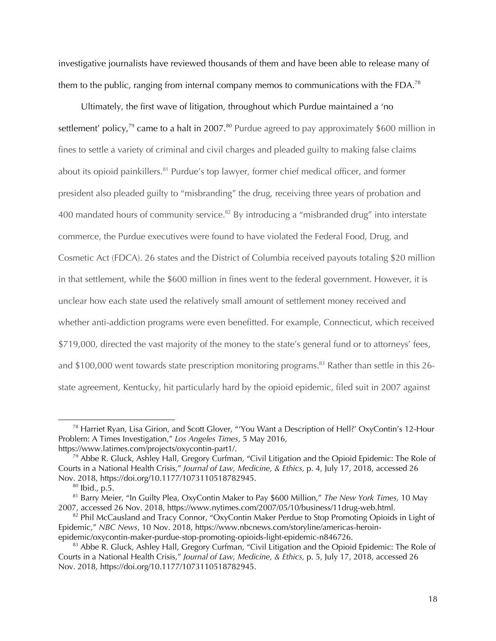investigative journalists have reviewed thousands of them and have been able to release many of them to the public, ranging from internal company memos to communications with the FDA.<sup>78</sup>

Ultimately, the first wave of litigation, throughout which Purdue maintained a 'no settlement' policy,<sup>79</sup> came to a halt in 2007.<sup>80</sup> Purdue agreed to pay approximately \$600 million in fines to settle a variety of criminal and civil charges and pleaded guilty to making false claims about its opioid painkillers.<sup>81</sup> Purdue's top lawyer, former chief medical officer, and former president also pleaded guilty to "misbranding" the drug, receiving three years of probation and 400 mandated hours of community service.<sup>82</sup> By introducing a "misbranded drug" into interstate commerce, the Purdue executives were found to have violated the Federal Food, Drug, and Cosmetic Act (FDCA). 26 states and the District of Columbia received payouts totaling \$20 million in that settlement, while the \$600 million in fines went to the federal government. However, it is unclear how each state used the relatively small amount of settlement money received and whether anti-addiction programs were even benefitted. For example, Connecticut, which received \$719,000, directed the vast majority of the money to the state's general fund or to attorneys' fees, and \$100,000 went towards state prescription monitoring programs.<sup>83</sup> Rather than settle in this 26state agreement, Kentucky, hit particularly hard by the opioid epidemic, filed suit in 2007 against

<sup>78</sup> Harriet Ryan, Lisa Girion, and Scott Glover, "'You Want a Description of Hell?' OxyContin's 12-Hour Problem: A Times Investigation," *Los Angeles Times*, 5 May 2016, https://www.latimes.com/projects/oxycontin-part1/.

 $79$  Abbe R. Gluck, Ashley Hall, Gregory Curfman, "Civil Litigation and the Opioid Epidemic: The Role of Courts in a National Health Crisis," *Journal of Law, Medicine, & Ethics,* p. 4, July 17, 2018, accessed 26 Nov. 2018, https://doi.org/10.1177/1073110518782945.

 $80$  Ibid., p.5.

<sup>81</sup> Barry Meier, "In Guilty Plea, OxyContin Maker to Pay \$600 Million," *The New York Times,* 10 May 2007, accessed 26 Nov. 2018, https://www.nytimes.com/2007/05/10/business/11drug-web.html.

 $82$  Phil McCausland and Tracy Connor, "OxyContin Maker Perdue to Stop Promoting Opioids in Light of Epidemic," *NBC News*, 10 Nov. 2018, https://www.nbcnews.com/storyline/americas-heroinepidemic/oxycontin-maker-purdue-stop-promoting-opioids-light-epidemic-n846726.

<sup>&</sup>lt;sup>83</sup> Abbe R. Gluck, Ashley Hall, Gregory Curfman, "Civil Litigation and the Opioid Epidemic: The Role of Courts in a National Health Crisis," *Journal of Law, Medicine, & Ethics,* p. 5, July 17, 2018, accessed 26 Nov. 2018, https://doi.org/10.1177/1073110518782945.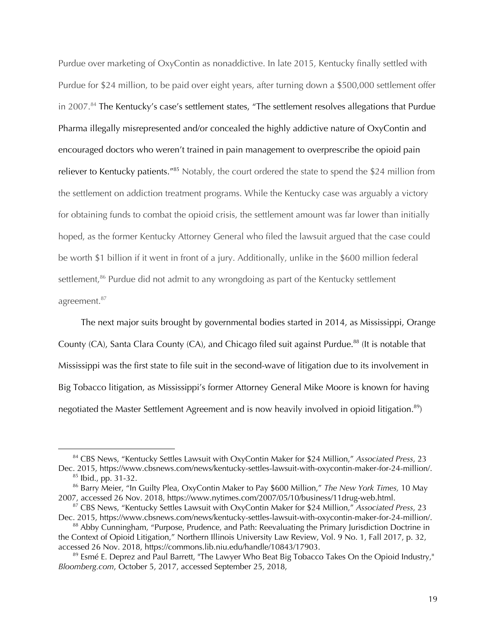Purdue over marketing of OxyContin as nonaddictive. In late 2015, Kentucky finally settled with Purdue for \$24 million, to be paid over eight years, after turning down a \$500,000 settlement offer in 2007.<sup>84</sup> The Kentucky's case's settlement states, "The settlement resolves allegations that Purdue Pharma illegally misrepresented and/or concealed the highly addictive nature of OxyContin and encouraged doctors who weren't trained in pain management to overprescribe the opioid pain reliever to Kentucky patients."<sup>85</sup> Notably, the court ordered the state to spend the \$24 million from the settlement on addiction treatment programs. While the Kentucky case was arguably a victory for obtaining funds to combat the opioid crisis, the settlement amount was far lower than initially hoped, as the former Kentucky Attorney General who filed the lawsuit argued that the case could be worth \$1 billion if it went in front of a jury. Additionally, unlike in the \$600 million federal settlement,<sup>86</sup> Purdue did not admit to any wrongdoing as part of the Kentucky settlement agreement.<sup>87</sup>

The next major suits brought by governmental bodies started in 2014, as Mississippi, Orange County (CA), Santa Clara County (CA), and Chicago filed suit against Purdue.<sup>88</sup> (It is notable that Mississippi was the first state to file suit in the second-wave of litigation due to its involvement in Big Tobacco litigation, as Mississippi's former Attorney General Mike Moore is known for having negotiated the Master Settlement Agreement and is now heavily involved in opioid litigation.<sup>89</sup>)

<sup>84</sup> CBS News, "Kentucky Settles Lawsuit with OxyContin Maker for \$24 Million," *Associated Press*, 23 Dec. 2015, https://www.cbsnews.com/news/kentucky-settles-lawsuit-with-oxycontin-maker-for-24-million/.  $85$  Ibid., pp. 31-32.

<sup>86</sup> Barry Meier, "In Guilty Plea, OxyContin Maker to Pay \$600 Million," *The New York Times,* 10 May 2007, accessed 26 Nov. 2018, https://www.nytimes.com/2007/05/10/business/11drug-web.html.

<sup>87</sup> CBS News, "Kentucky Settles Lawsuit with OxyContin Maker for \$24 Million," *Associated Press*, 23 Dec. 2015, https://www.cbsnews.com/news/kentucky-settles-lawsuit-with-oxycontin-maker-for-24-million/.

<sup>88</sup> Abby Cunningham, "Purpose, Prudence, and Path: Reevaluating the Primary Jurisdiction Doctrine in the Context of Opioid Litigation," Northern Illinois University Law Review, Vol. 9 No. 1, Fall 2017, p. 32, accessed 26 Nov. 2018, https://commons.lib.niu.edu/handle/10843/17903.

<sup>&</sup>lt;sup>89</sup> Esmé E. Deprez and Paul Barrett, "The Lawyer Who Beat Big Tobacco Takes On the Opioid Industry," *Bloomberg.com*, October 5, 2017, accessed September 25, 2018,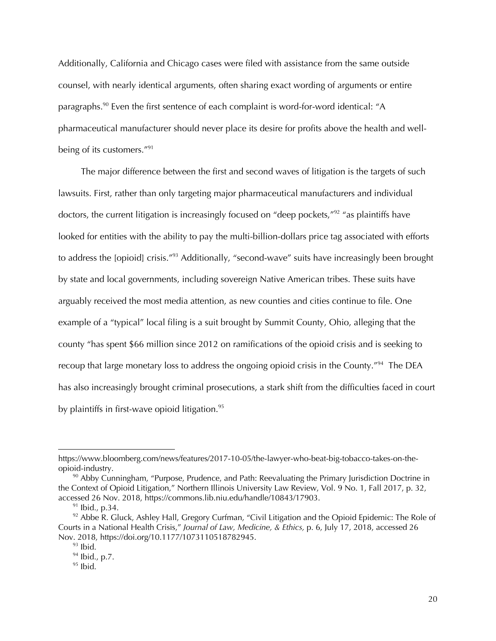Additionally, California and Chicago cases were filed with assistance from the same outside counsel, with nearly identical arguments, often sharing exact wording of arguments or entire paragraphs.<sup>90</sup> Even the first sentence of each complaint is word-for-word identical: "A pharmaceutical manufacturer should never place its desire for profits above the health and wellbeing of its customers."91

The major difference between the first and second waves of litigation is the targets of such lawsuits. First, rather than only targeting major pharmaceutical manufacturers and individual doctors, the current litigation is increasingly focused on "deep pockets,"<sup>92</sup> "as plaintiffs have looked for entities with the ability to pay the multi-billion-dollars price tag associated with efforts to address the [opioid] crisis."<sup>93</sup> Additionally, "second-wave" suits have increasingly been brought by state and local governments, including sovereign Native American tribes. These suits have arguably received the most media attention, as new counties and cities continue to file. One example of a "typical" local filing is a suit brought by Summit County, Ohio, alleging that the county "has spent \$66 million since 2012 on ramifications of the opioid crisis and is seeking to recoup that large monetary loss to address the ongoing opioid crisis in the County.<sup>"94</sup> The DEA has also increasingly brought criminal prosecutions, a stark shift from the difficulties faced in court by plaintiffs in first-wave opioid litigation.<sup>95</sup>

https://www.bloomberg.com/news/features/2017-10-05/the-lawyer-who-beat-big-tobacco-takes-on-theopioid-industry.

 $90$  Abby Cunningham, "Purpose, Prudence, and Path: Reevaluating the Primary Jurisdiction Doctrine in the Context of Opioid Litigation," Northern Illinois University Law Review, Vol. 9 No. 1, Fall 2017, p. 32, accessed 26 Nov. 2018, https://commons.lib.niu.edu/handle/10843/17903.

 $91$  lbid., p.34.

 $92$  Abbe R. Gluck, Ashley Hall, Gregory Curfman, "Civil Litigation and the Opioid Epidemic: The Role of Courts in a National Health Crisis," *Journal of Law, Medicine, & Ethics,* p. 6, July 17, 2018, accessed 26 Nov. 2018, https://doi.org/10.1177/1073110518782945.

 $93$  Ibid.

<sup>94</sup> Ibid., p.7.

 $95$  Ibid.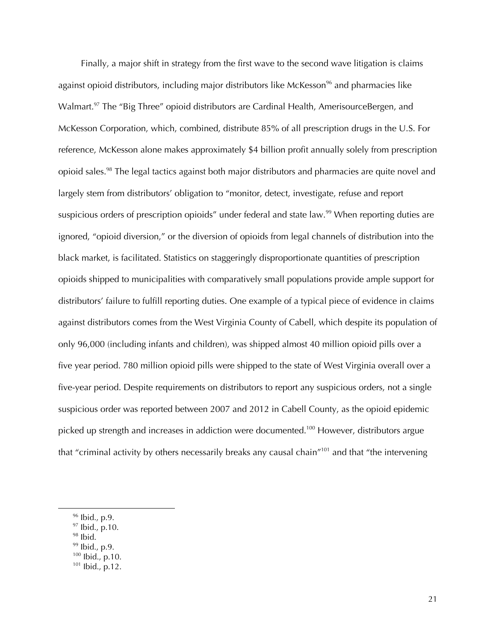Finally, a major shift in strategy from the first wave to the second wave litigation is claims against opioid distributors, including major distributors like McKesson<sup>96</sup> and pharmacies like Walmart.<sup>97</sup> The "Big Three" opioid distributors are Cardinal Health, AmerisourceBergen, and McKesson Corporation, which, combined, distribute 85% of all prescription drugs in the U.S. For reference, McKesson alone makes approximately \$4 billion profit annually solely from prescription opioid sales.98 The legal tactics against both major distributors and pharmacies are quite novel and largely stem from distributors' obligation to "monitor, detect, investigate, refuse and report suspicious orders of prescription opioids" under federal and state law.<sup>99</sup> When reporting duties are ignored, "opioid diversion," or the diversion of opioids from legal channels of distribution into the black market, is facilitated. Statistics on staggeringly disproportionate quantities of prescription opioids shipped to municipalities with comparatively small populations provide ample support for distributors' failure to fulfill reporting duties. One example of a typical piece of evidence in claims against distributors comes from the West Virginia County of Cabell, which despite its population of only 96,000 (including infants and children), was shipped almost 40 million opioid pills over a five year period. 780 million opioid pills were shipped to the state of West Virginia overall over a five-year period. Despite requirements on distributors to report any suspicious orders, not a single suspicious order was reported between 2007 and 2012 in Cabell County, as the opioid epidemic picked up strength and increases in addiction were documented.<sup>100</sup> However, distributors argue that "criminal activity by others necessarily breaks any causal chain"<sup>101</sup> and that "the intervening

 $98$  Ibid.

 $\overline{a}$ 

<sup>100</sup> Ibid., p.10.

 $96$  Ibid., p.9.

 $97$  Ibid., p.10.

<sup>&</sup>lt;sup>99</sup> Ibid., p.9.

<sup>101</sup> Ibid., p.12.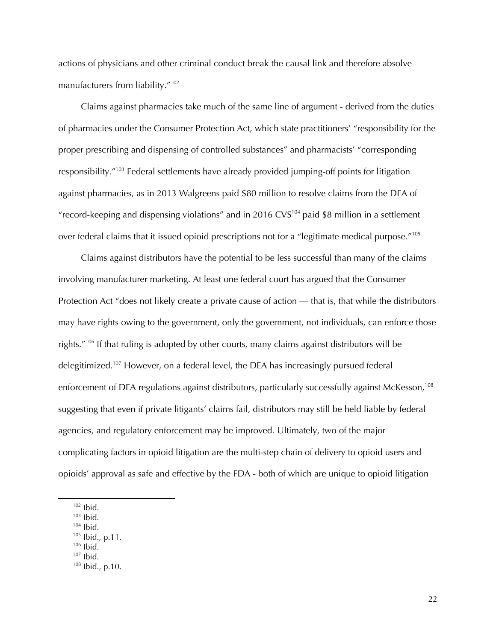actions of physicians and other criminal conduct break the causal link and therefore absolve manufacturers from liability."102

Claims against pharmacies take much of the same line of argument - derived from the duties of pharmacies under the Consumer Protection Act, which state practitioners' "responsibility for the proper prescribing and dispensing of controlled substances" and pharmacists' "corresponding responsibility."103 Federal settlements have already provided jumping-off points for litigation against pharmacies, as in 2013 Walgreens paid \$80 million to resolve claims from the DEA of "record-keeping and dispensing violations" and in 2016 CVS $^{104}$  paid \$8 million in a settlement over federal claims that it issued opioid prescriptions not for a "legitimate medical purpose."105

Claims against distributors have the potential to be less successful than many of the claims involving manufacturer marketing. At least one federal court has argued that the Consumer Protection Act "does not likely create a private cause of action — that is, that while the distributors may have rights owing to the government, only the government, not individuals, can enforce those rights."106 If that ruling is adopted by other courts, many claims against distributors will be delegitimized.<sup>107</sup> However, on a federal level, the DEA has increasingly pursued federal enforcement of DEA regulations against distributors, particularly successfully against McKesson,<sup>108</sup> suggesting that even if private litigants' claims fail, distributors may still be held liable by federal agencies, and regulatory enforcement may be improved. Ultimately, two of the major complicating factors in opioid litigation are the multi-step chain of delivery to opioid users and opioids' approval as safe and effective by the FDA - both of which are unique to opioid litigation

- $104$  Ibid.
- <sup>105</sup> Ibid., p.11.
- $106$  Ibid.
- $107$  Ibid.

 $102$  Ibid.

 $103$  Ibid.

<sup>108</sup> Ibid., p.10.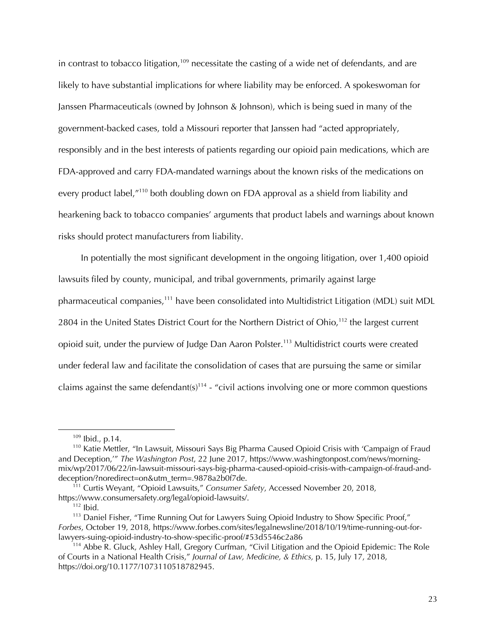in contrast to tobacco litigation,<sup>109</sup> necessitate the casting of a wide net of defendants, and are likely to have substantial implications for where liability may be enforced. A spokeswoman for Janssen Pharmaceuticals (owned by Johnson & Johnson), which is being sued in many of the government-backed cases, told a Missouri reporter that Janssen had "acted appropriately, responsibly and in the best interests of patients regarding our opioid pain medications, which are FDA-approved and carry FDA-mandated warnings about the known risks of the medications on every product label,"<sup>110</sup> both doubling down on FDA approval as a shield from liability and hearkening back to tobacco companies' arguments that product labels and warnings about known risks should protect manufacturers from liability.

In potentially the most significant development in the ongoing litigation, over 1,400 opioid lawsuits filed by county, municipal, and tribal governments, primarily against large pharmaceutical companies,111 have been consolidated into Multidistrict Litigation (MDL) suit MDL 2804 in the United States District Court for the Northern District of Ohio,<sup>112</sup> the largest current opioid suit, under the purview of Judge Dan Aaron Polster.113 Multidistrict courts were created under federal law and facilitate the consolidation of cases that are pursuing the same or similar claims against the same defendant(s)<sup>114</sup> - "civil actions involving one or more common questions

<sup>109</sup> Ibid., p.14.

<sup>110</sup> Katie Mettler, "In Lawsuit, Missouri Says Big Pharma Caused Opioid Crisis with 'Campaign of Fraud and Deception,'" *The Washington Post*, 22 June 2017, https://www.washingtonpost.com/news/morningmix/wp/2017/06/22/in-lawsuit-missouri-says-big-pharma-caused-opioid-crisis-with-campaign-of-fraud-anddeception/?noredirect=on&utm\_term=.9878a2b0f7de.

<sup>111</sup> Curtis Weyant, "Opioid Lawsuits," *Consumer Safety*, Accessed November 20, 2018, https://www.consumersafety.org/legal/opioid-lawsuits/.

 $112$  Ibid.

<sup>&</sup>lt;sup>113</sup> Daniel Fisher, "Time Running Out for Lawyers Suing Opioid Industry to Show Specific Proof," *Forbes*, October 19, 2018, https://www.forbes.com/sites/legalnewsline/2018/10/19/time-running-out-forlawyers-suing-opioid-industry-to-show-specific-proof/#53d5546c2a86

<sup>&</sup>lt;sup>114</sup> Abbe R. Gluck, Ashley Hall, Gregory Curfman, "Civil Litigation and the Opioid Epidemic: The Role of Courts in a National Health Crisis," *Journal of Law, Medicine, & Ethics,* p. 15, July 17, 2018, https://doi.org/10.1177/1073110518782945.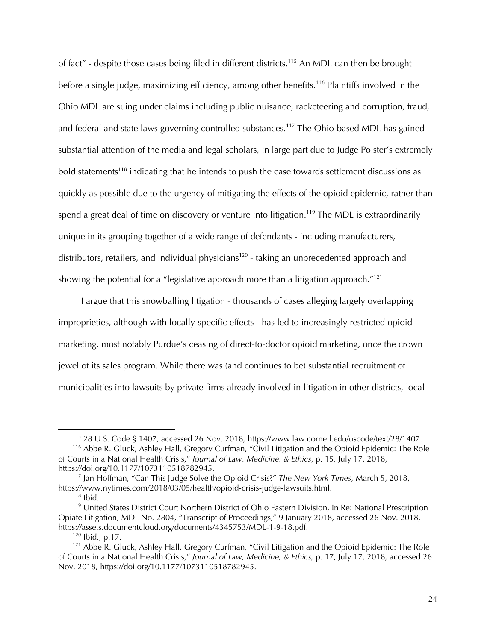of fact" - despite those cases being filed in different districts.<sup>115</sup> An MDL can then be brought before a single judge, maximizing efficiency, among other benefits.<sup>116</sup> Plaintiffs involved in the Ohio MDL are suing under claims including public nuisance, racketeering and corruption, fraud, and federal and state laws governing controlled substances.<sup>117</sup> The Ohio-based MDL has gained substantial attention of the media and legal scholars, in large part due to Judge Polster's extremely bold statements<sup>118</sup> indicating that he intends to push the case towards settlement discussions as quickly as possible due to the urgency of mitigating the effects of the opioid epidemic, rather than spend a great deal of time on discovery or venture into litigation.<sup>119</sup> The MDL is extraordinarily unique in its grouping together of a wide range of defendants - including manufacturers, distributors, retailers, and individual physicians<sup>120</sup> - taking an unprecedented approach and showing the potential for a "legislative approach more than a litigation approach. $^{"121}$ 

I argue that this snowballing litigation - thousands of cases alleging largely overlapping improprieties, although with locally-specific effects - has led to increasingly restricted opioid marketing, most notably Purdue's ceasing of direct-to-doctor opioid marketing, once the crown jewel of its sales program. While there was (and continues to be) substantial recruitment of municipalities into lawsuits by private firms already involved in litigation in other districts, local

<sup>115</sup> 28 U.S. Code § 1407, accessed 26 Nov. 2018, https://www.law.cornell.edu/uscode/text/28/1407.

<sup>116</sup> Abbe R. Gluck, Ashley Hall, Gregory Curfman, "Civil Litigation and the Opioid Epidemic: The Role of Courts in a National Health Crisis," *Journal of Law, Medicine, & Ethics,* p. 15, July 17, 2018, https://doi.org/10.1177/1073110518782945.

<sup>117</sup> Jan Hoffman, "Can This Judge Solve the Opioid Crisis?" *The New York Times*, March 5, 2018, https://www.nytimes.com/2018/03/05/health/opioid-crisis-judge-lawsuits.html. 118 Ibid.

<sup>&</sup>lt;sup>119</sup> United States District Court Northern District of Ohio Eastern Division, In Re: National Prescription Opiate Litigation, MDL No. 2804, "Transcript of Proceedings," 9 January 2018, accessed 26 Nov. 2018, https://assets.documentcloud.org/documents/4345753/MDL-1-9-18.pdf. <sup>120</sup> Ibid., p.17.

<sup>&</sup>lt;sup>121</sup> Abbe R. Gluck, Ashley Hall, Gregory Curfman, "Civil Litigation and the Opioid Epidemic: The Role of Courts in a National Health Crisis," *Journal of Law, Medicine, & Ethics,* p. 17, July 17, 2018, accessed 26 Nov. 2018, https://doi.org/10.1177/1073110518782945.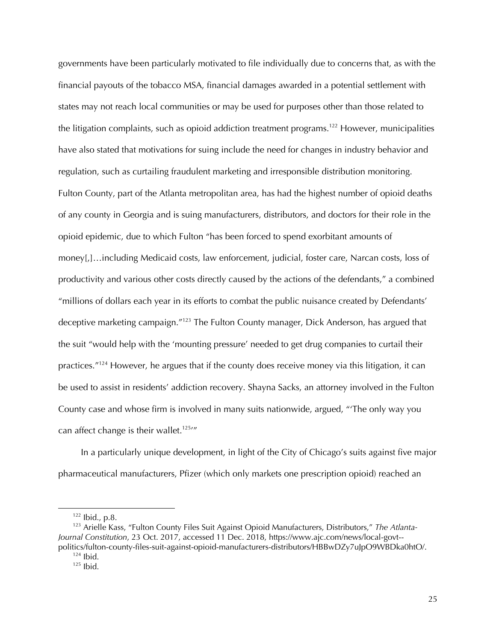governments have been particularly motivated to file individually due to concerns that, as with the financial payouts of the tobacco MSA, financial damages awarded in a potential settlement with states may not reach local communities or may be used for purposes other than those related to the litigation complaints, such as opioid addiction treatment programs.<sup>122</sup> However, municipalities have also stated that motivations for suing include the need for changes in industry behavior and regulation, such as curtailing fraudulent marketing and irresponsible distribution monitoring. Fulton County, part of the Atlanta metropolitan area, has had the highest number of opioid deaths of any county in Georgia and is suing manufacturers, distributors, and doctors for their role in the opioid epidemic, due to which Fulton "has been forced to spend exorbitant amounts of money[,]…including Medicaid costs, law enforcement, judicial, foster care, Narcan costs, loss of productivity and various other costs directly caused by the actions of the defendants," a combined "millions of dollars each year in its efforts to combat the public nuisance created by Defendants' deceptive marketing campaign."<sup>123</sup> The Fulton County manager, Dick Anderson, has argued that the suit "would help with the 'mounting pressure' needed to get drug companies to curtail their practices."124 However, he argues that if the county does receive money via this litigation, it can be used to assist in residents' addiction recovery. Shayna Sacks, an attorney involved in the Fulton County case and whose firm is involved in many suits nationwide, argued, "'The only way you can affect change is their wallet.<sup>125</sup>/"

In a particularly unique development, in light of the City of Chicago's suits against five major pharmaceutical manufacturers, Pfizer (which only markets one prescription opioid) reached an

 $122$  lbid., p.8.

<sup>123</sup> Arielle Kass, "Fulton County Files Suit Against Opioid Manufacturers, Distributors," *The Atlanta-Journal Constitution*, 23 Oct. 2017, accessed 11 Dec. 2018, https://www.ajc.com/news/local-govt- politics/fulton-county-files-suit-against-opioid-manufacturers-distributors/HBBwDZy7uJpO9WBDka0htO/.

 $124$  Ibid.

 $125$  Ibid.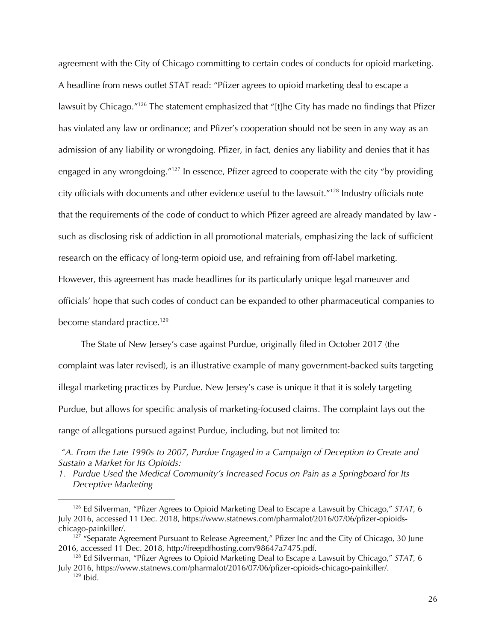agreement with the City of Chicago committing to certain codes of conducts for opioid marketing. A headline from news outlet STAT read: "Pfizer agrees to opioid marketing deal to escape a lawsuit by Chicago."<sup>126</sup> The statement emphasized that "[t]he City has made no findings that Pfizer has violated any law or ordinance; and Pfizer's cooperation should not be seen in any way as an admission of any liability or wrongdoing. Pfizer, in fact, denies any liability and denies that it has engaged in any wrongdoing."<sup>127</sup> In essence, Pfizer agreed to cooperate with the city "by providing city officials with documents and other evidence useful to the lawsuit."128 Industry officials note that the requirements of the code of conduct to which Pfizer agreed are already mandated by law such as disclosing risk of addiction in all promotional materials, emphasizing the lack of sufficient research on the efficacy of long-term opioid use, and refraining from off-label marketing. However, this agreement has made headlines for its particularly unique legal maneuver and officials' hope that such codes of conduct can be expanded to other pharmaceutical companies to become standard practice.<sup>129</sup>

The State of New Jersey's case against Purdue, originally filed in October 2017 (the complaint was later revised), is an illustrative example of many government-backed suits targeting illegal marketing practices by Purdue. New Jersey's case is unique it that it is solely targeting Purdue, but allows for specific analysis of marketing-focused claims. The complaint lays out the range of allegations pursued against Purdue, including, but not limited to:

*"A. From the Late 1990s to 2007, Purdue Engaged in a Campaign of Deception to Create and Sustain a Market for Its Opioids:*

*1. Purdue Used the Medical Community's Increased Focus on Pain as a Springboard for Its Deceptive Marketing*

<sup>126</sup> Ed Silverman, "Pfizer Agrees to Opioid Marketing Deal to Escape a Lawsuit by Chicago," *STAT,* 6 July 2016, accessed 11 Dec. 2018, https://www.statnews.com/pharmalot/2016/07/06/pfizer-opioidschicago-painkiller/.

 $127$  "Separate Agreement Pursuant to Release Agreement," Pfizer Inc and the City of Chicago, 30 June 2016, accessed 11 Dec. 2018, http://freepdfhosting.com/98647a7475.pdf.

<sup>128</sup> Ed Silverman, "Pfizer Agrees to Opioid Marketing Deal to Escape a Lawsuit by Chicago," *STAT,* 6 July 2016, https://www.statnews.com/pharmalot/2016/07/06/pfizer-opioids-chicago-painkiller/.

 $129$  Ibid.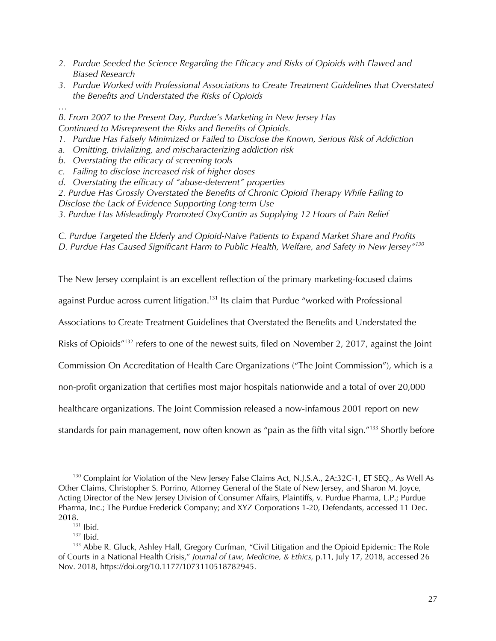- *2. Purdue Seeded the Science Regarding the Efficacy and Risks of Opioids with Flawed and Biased Research*
- *3. Purdue Worked with Professional Associations to Create Treatment Guidelines that Overstated the Benefits and Understated the Risks of Opioids*
- *…*

*B. From 2007 to the Present Day, Purdue's Marketing in New Jersey Has Continued to Misrepresent the Risks and Benefits of Opioids.*

- *1. Purdue Has Falsely Minimized or Failed to Disclose the Known, Serious Risk of Addiction*
- *a. Omitting, trivializing, and mischaracterizing addiction risk*
- *b. Overstating the efficacy of screening tools*
- *c. Failing to disclose increased risk of higher doses*
- *d. Overstating the efficacy of "abuse-deterrent" properties*
- *2. Purdue Has Grossly Overstated the Benefits of Chronic Opioid Therapy While Failing to Disclose the Lack of Evidence Supporting Long-term Use*
- *3. Purdue Has Misleadingly Promoted OxyContin as Supplying 12 Hours of Pain Relief*

*C. Purdue Targeted the Elderly and Opioid-Naive Patients to Expand Market Share and Profits D. Purdue Has Caused Significant Harm to Public Health, Welfare, and Safety in New Jersey"130*

The New Jersey complaint is an excellent reflection of the primary marketing-focused claims

against Purdue across current litigation.<sup>131</sup> Its claim that Purdue "worked with Professional

Associations to Create Treatment Guidelines that Overstated the Benefits and Understated the

Risks of Opioids"132 refers to one of the newest suits, filed on November 2, 2017, against the Joint

Commission On Accreditation of Health Care Organizations ("The Joint Commission"), which is a

non-profit organization that certifies most major hospitals nationwide and a total of over 20,000

healthcare organizations. The Joint Commission released a now-infamous 2001 report on new

standards for pain management, now often known as "pain as the fifth vital sign."<sup>133</sup> Shortly before

 $\overline{a}$ <sup>130</sup> Complaint for Violation of the New Jersey False Claims Act, N.J.S.A., 2A:32C-1, ET SEQ., As Well As Other Claims, Christopher S. Porrino, Attorney General of the State of New Jersey, and Sharon M. Joyce, Acting Director of the New Jersey Division of Consumer Affairs, Plaintiffs, v. Purdue Pharma, L.P.; Purdue Pharma, Inc.; The Purdue Frederick Company; and XYZ Corporations 1-20, Defendants, accessed 11 Dec. 2018.

 $131$  Ibid.

 $132$  Ibid.

<sup>133</sup> Abbe R. Gluck, Ashley Hall, Gregory Curfman, "Civil Litigation and the Opioid Epidemic: The Role of Courts in a National Health Crisis," *Journal of Law, Medicine, & Ethics,* p.11, July 17, 2018, accessed 26 Nov. 2018, https://doi.org/10.1177/1073110518782945.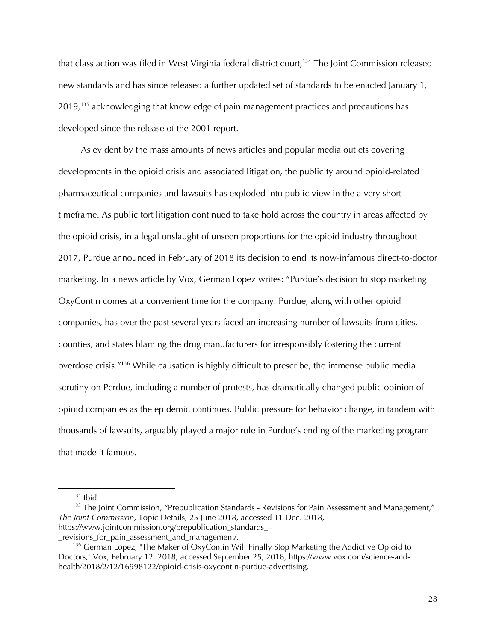that class action was filed in West Virginia federal district court,<sup>134</sup> The Joint Commission released new standards and has since released a further updated set of standards to be enacted January 1, 2019,<sup>135</sup> acknowledging that knowledge of pain management practices and precautions has developed since the release of the 2001 report.

As evident by the mass amounts of news articles and popular media outlets covering developments in the opioid crisis and associated litigation, the publicity around opioid-related pharmaceutical companies and lawsuits has exploded into public view in the a very short timeframe. As public tort litigation continued to take hold across the country in areas affected by the opioid crisis, in a legal onslaught of unseen proportions for the opioid industry throughout 2017, Purdue announced in February of 2018 its decision to end its now-infamous direct-to-doctor marketing. In a news article by Vox, German Lopez writes: "Purdue's decision to stop marketing OxyContin comes at a convenient time for the company. Purdue, along with other opioid companies, has over the past several years faced an increasing number of lawsuits from cities, counties, and states blaming the drug manufacturers for irresponsibly fostering the current overdose crisis."136 While causation is highly difficult to prescribe, the immense public media scrutiny on Perdue, including a number of protests, has dramatically changed public opinion of opioid companies as the epidemic continues. Public pressure for behavior change, in tandem with thousands of lawsuits, arguably played a major role in Purdue's ending of the marketing program that made it famous.

 $134$  Ibid.

 $135$  The Joint Commission, "Prepublication Standards - Revisions for Pain Assessment and Management," *The Joint Commission,* Topic Details, 25 June 2018, accessed 11 Dec. 2018, https://www.jointcommission.org/prepublication\_standards\_–

\_revisions\_for\_pain\_assessment\_and\_management/.

<sup>&</sup>lt;sup>136</sup> German Lopez, "The Maker of OxyContin Will Finally Stop Marketing the Addictive Opioid to Doctors," Vox, February 12, 2018, accessed September 25, 2018, https://www.vox.com/science-andhealth/2018/2/12/16998122/opioid-crisis-oxycontin-purdue-advertising.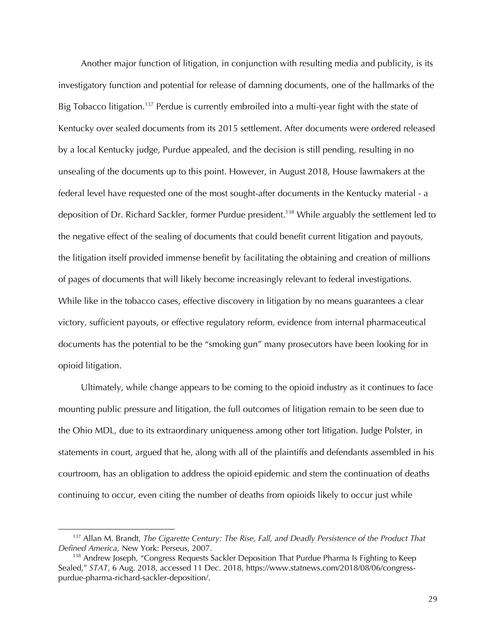Another major function of litigation, in conjunction with resulting media and publicity, is its investigatory function and potential for release of damning documents, one of the hallmarks of the Big Tobacco litigation.<sup>137</sup> Perdue is currently embroiled into a multi-year fight with the state of Kentucky over sealed documents from its 2015 settlement. After documents were ordered released by a local Kentucky judge, Purdue appealed, and the decision is still pending, resulting in no unsealing of the documents up to this point. However, in August 2018, House lawmakers at the federal level have requested one of the most sought-after documents in the Kentucky material - a deposition of Dr. Richard Sackler, former Purdue president.<sup>138</sup> While arguably the settlement led to the negative effect of the sealing of documents that could benefit current litigation and payouts, the litigation itself provided immense benefit by facilitating the obtaining and creation of millions of pages of documents that will likely become increasingly relevant to federal investigations. While like in the tobacco cases, effective discovery in litigation by no means guarantees a clear victory, sufficient payouts, or effective regulatory reform, evidence from internal pharmaceutical documents has the potential to be the "smoking gun" many prosecutors have been looking for in opioid litigation.

Ultimately, while change appears to be coming to the opioid industry as it continues to face mounting public pressure and litigation, the full outcomes of litigation remain to be seen due to the Ohio MDL, due to its extraordinary uniqueness among other tort litigation. Judge Polster, in statements in court, argued that he, along with all of the plaintiffs and defendants assembled in his courtroom, has an obligation to address the opioid epidemic and stem the continuation of deaths continuing to occur, even citing the number of deaths from opioids likely to occur just while

<sup>137</sup> Allan M. Brandt, *The Cigarette Century: The Rise, Fall, and Deadly Persistence of the Product That Defined America,* New York: Perseus, 2007.

<sup>&</sup>lt;sup>138</sup> Andrew Joseph, "Congress Requests Sackler Deposition That Purdue Pharma Is Fighting to Keep Sealed," *STAT*, 6 Aug. 2018, accessed 11 Dec. 2018, https://www.statnews.com/2018/08/06/congresspurdue-pharma-richard-sackler-deposition/.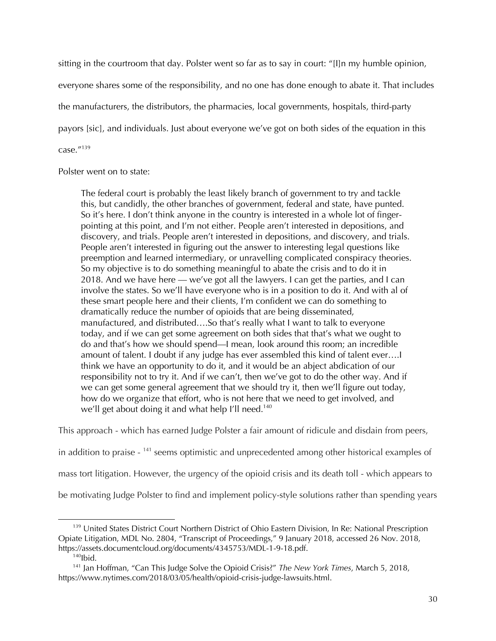sitting in the courtroom that day. Polster went so far as to say in court: "[I]n my humble opinion, everyone shares some of the responsibility, and no one has done enough to abate it. That includes the manufacturers, the distributors, the pharmacies, local governments, hospitals, third-party payors [sic], and individuals. Just about everyone we've got on both sides of the equation in this case."139

# Polster went on to state:

The federal court is probably the least likely branch of government to try and tackle this, but candidly, the other branches of government, federal and state, have punted. So it's here. I don't think anyone in the country is interested in a whole lot of fingerpointing at this point, and I'm not either. People aren't interested in depositions, and discovery, and trials. People aren't interested in depositions, and discovery, and trials. People aren't interested in figuring out the answer to interesting legal questions like preemption and learned intermediary, or unravelling complicated conspiracy theories. So my objective is to do something meaningful to abate the crisis and to do it in 2018. And we have here — we've got all the lawyers. I can get the parties, and I can involve the states. So we'll have everyone who is in a position to do it. And with al of these smart people here and their clients, I'm confident we can do something to dramatically reduce the number of opioids that are being disseminated, manufactured, and distributed….So that's really what I want to talk to everyone today, and if we can get some agreement on both sides that that's what we ought to do and that's how we should spend—I mean, look around this room; an incredible amount of talent. I doubt if any judge has ever assembled this kind of talent ever….I think we have an opportunity to do it, and it would be an abject abdication of our responsibility not to try it. And if we can't, then we've got to do the other way. And if we can get some general agreement that we should try it, then we'll figure out today, how do we organize that effort, who is not here that we need to get involved, and we'll get about doing it and what help I'll need.<sup>140</sup>

This approach - which has earned Judge Polster a fair amount of ridicule and disdain from peers,

in addition to praise - <sup>141</sup> seems optimistic and unprecedented among other historical examples of

mass tort litigation. However, the urgency of the opioid crisis and its death toll - which appears to

be motivating Judge Polster to find and implement policy-style solutions rather than spending years

<sup>&</sup>lt;sup>139</sup> United States District Court Northern District of Ohio Eastern Division, In Re: National Prescription Opiate Litigation, MDL No. 2804, "Transcript of Proceedings," 9 January 2018, accessed 26 Nov. 2018, https://assets.documentcloud.org/documents/4345753/MDL-1-9-18.pdf.<br><sup>140</sup>Ibid.

<sup>141</sup> Jan Hoffman, "Can This Judge Solve the Opioid Crisis?" *The New York Times*, March 5, 2018, https://www.nytimes.com/2018/03/05/health/opioid-crisis-judge-lawsuits.html.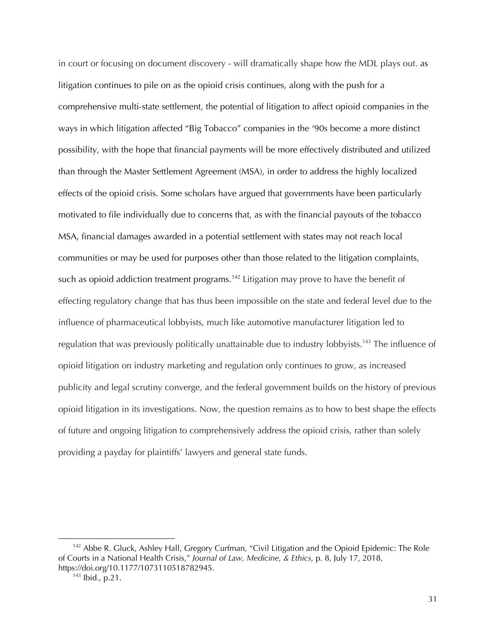in court or focusing on document discovery - will dramatically shape how the MDL plays out. as litigation continues to pile on as the opioid crisis continues, along with the push for a comprehensive multi-state settlement, the potential of litigation to affect opioid companies in the ways in which litigation affected "Big Tobacco" companies in the '90s become a more distinct possibility, with the hope that financial payments will be more effectively distributed and utilized than through the Master Settlement Agreement (MSA), in order to address the highly localized effects of the opioid crisis. Some scholars have argued that governments have been particularly motivated to file individually due to concerns that, as with the financial payouts of the tobacco MSA, financial damages awarded in a potential settlement with states may not reach local communities or may be used for purposes other than those related to the litigation complaints, such as opioid addiction treatment programs.<sup>142</sup> Litigation may prove to have the benefit of effecting regulatory change that has thus been impossible on the state and federal level due to the influence of pharmaceutical lobbyists, much like automotive manufacturer litigation led to regulation that was previously politically unattainable due to industry lobbyists.143 The influence of opioid litigation on industry marketing and regulation only continues to grow, as increased publicity and legal scrutiny converge, and the federal government builds on the history of previous opioid litigation in its investigations. Now, the question remains as to how to best shape the effects of future and ongoing litigation to comprehensively address the opioid crisis, rather than solely providing a payday for plaintiffs' lawyers and general state funds.

<sup>&</sup>lt;sup>142</sup> Abbe R. Gluck, Ashley Hall, Gregory Curfman, "Civil Litigation and the Opioid Epidemic: The Role of Courts in a National Health Crisis," *Journal of Law, Medicine, & Ethics,* p. 8, July 17, 2018, https://doi.org/10.1177/1073110518782945.

<sup>143</sup> Ibid., p.21.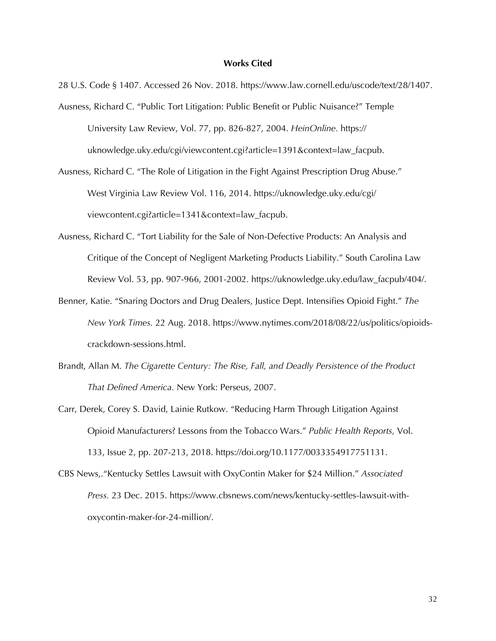#### **Works Cited**

28 U.S. Code § 1407. Accessed 26 Nov. 2018. https://www.law.cornell.edu/uscode/text/28/1407.

- Ausness, Richard C. "Public Tort Litigation: Public Benefit or Public Nuisance?" Temple University Law Review, Vol. 77, pp. 826-827, 2004. *HeinOnline.* https:// uknowledge.uky.edu/cgi/viewcontent.cgi?article=1391&context=law\_facpub.
- Ausness, Richard C. "The Role of Litigation in the Fight Against Prescription Drug Abuse." West Virginia Law Review Vol. 116, 2014. https://uknowledge.uky.edu/cgi/ viewcontent.cgi?article=1341&context=law\_facpub.
- Ausness, Richard C. "Tort Liability for the Sale of Non-Defective Products: An Analysis and Critique of the Concept of Negligent Marketing Products Liability." South Carolina Law Review Vol. 53, pp. 907-966, 2001-2002. https://uknowledge.uky.edu/law\_facpub/404/.
- Benner, Katie. "Snaring Doctors and Drug Dealers, Justice Dept. Intensifies Opioid Fight." *The New York Times.* 22 Aug. 2018. https://www.nytimes.com/2018/08/22/us/politics/opioidscrackdown-sessions.html.
- Brandt, Allan M. *The Cigarette Century: The Rise, Fall, and Deadly Persistence of the Product That Defined America.* New York: Perseus, 2007.
- Carr, Derek, Corey S. David, Lainie Rutkow. "Reducing Harm Through Litigation Against Opioid Manufacturers? Lessons from the Tobacco Wars." *Public Health Reports,* Vol. 133, Issue 2, pp. 207-213, 2018. https://doi.org/10.1177/0033354917751131.
- CBS News,."Kentucky Settles Lawsuit with OxyContin Maker for \$24 Million." *Associated Press.* 23 Dec. 2015. https://www.cbsnews.com/news/kentucky-settles-lawsuit-withoxycontin-maker-for-24-million/.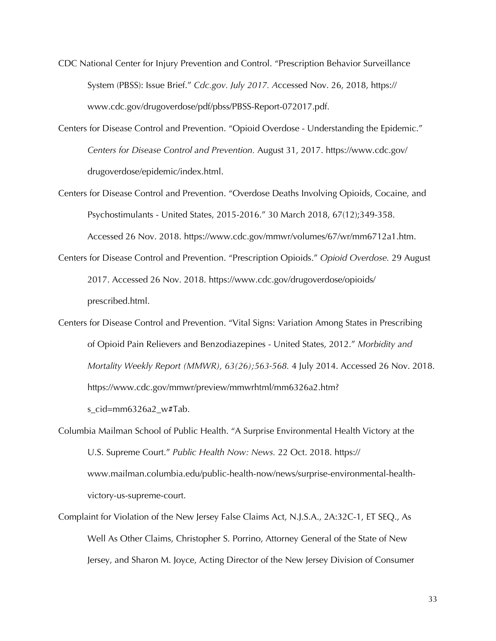- CDC National Center for Injury Prevention and Control. "Prescription Behavior Surveillance System (PBSS): Issue Brief." *Cdc.gov. July 2017. A*ccessed Nov. 26, 2018, https:// www.cdc.gov/drugoverdose/pdf/pbss/PBSS-Report-072017.pdf.
- Centers for Disease Control and Prevention. "Opioid Overdose Understanding the Epidemic." *Centers for Disease Control and Prevention.* August 31, 2017. https://www.cdc.gov/ drugoverdose/epidemic/index.html.
- Centers for Disease Control and Prevention. "Overdose Deaths Involving Opioids, Cocaine, and Psychostimulants - United States, 2015-2016." 30 March 2018, 67(12);349-358. Accessed 26 Nov. 2018. https://www.cdc.gov/mmwr/volumes/67/wr/mm6712a1.htm.
- Centers for Disease Control and Prevention. "Prescription Opioids." *Opioid Overdose.* 29 August 2017. Accessed 26 Nov. 2018. https://www.cdc.gov/drugoverdose/opioids/ prescribed.html.
- Centers for Disease Control and Prevention. "Vital Signs: Variation Among States in Prescribing of Opioid Pain Relievers and Benzodiazepines - United States, 2012." *Morbidity and Mortality Weekly Report (MMWR), 63(26);563-568.* 4 July 2014. Accessed 26 Nov. 2018. https://www.cdc.gov/mmwr/preview/mmwrhtml/mm6326a2.htm? s\_cid=mm6326a2\_w#Tab.
- Columbia Mailman School of Public Health. "A Surprise Environmental Health Victory at the U.S. Supreme Court." *Public Health Now: News.* 22 Oct. 2018. https:// www.mailman.columbia.edu/public-health-now/news/surprise-environmental-healthvictory-us-supreme-court.
- Complaint for Violation of the New Jersey False Claims Act, N.J.S.A., 2A:32C-1, ET SEQ., As Well As Other Claims, Christopher S. Porrino, Attorney General of the State of New Jersey, and Sharon M. Joyce, Acting Director of the New Jersey Division of Consumer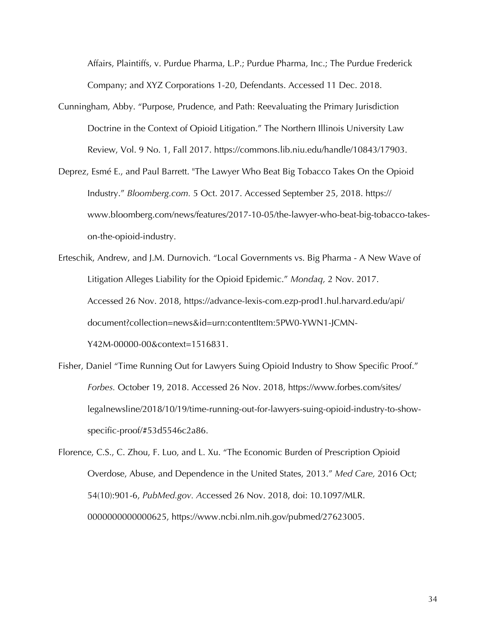Affairs, Plaintiffs, v. Purdue Pharma, L.P.; Purdue Pharma, Inc.; The Purdue Frederick Company; and XYZ Corporations 1-20, Defendants. Accessed 11 Dec. 2018.

- Cunningham, Abby. "Purpose, Prudence, and Path: Reevaluating the Primary Jurisdiction Doctrine in the Context of Opioid Litigation." The Northern Illinois University Law Review, Vol. 9 No. 1, Fall 2017. https://commons.lib.niu.edu/handle/10843/17903.
- Deprez, Esmé E., and Paul Barrett. "The Lawyer Who Beat Big Tobacco Takes On the Opioid Industry." *Bloomberg.com.* 5 Oct. 2017. Accessed September 25, 2018. https:// www.bloomberg.com/news/features/2017-10-05/the-lawyer-who-beat-big-tobacco-takeson-the-opioid-industry.
- Erteschik, Andrew, and J.M. Durnovich. "Local Governments vs. Big Pharma A New Wave of Litigation Alleges Liability for the Opioid Epidemic." *Mondaq,* 2 Nov. 2017. Accessed 26 Nov. 2018, https://advance-lexis-com.ezp-prod1.hul.harvard.edu/api/ document?collection=news&id=urn:contentItem:5PW0-YWN1-JCMN-Y42M-00000-00&context=1516831.
- Fisher, Daniel "Time Running Out for Lawyers Suing Opioid Industry to Show Specific Proof." *Forbes.* October 19, 2018. Accessed 26 Nov. 2018, https://www.forbes.com/sites/ legalnewsline/2018/10/19/time-running-out-for-lawyers-suing-opioid-industry-to-showspecific-proof/#53d5546c2a86.

Florence, C.S., C. Zhou, F. Luo, and L. Xu. "The Economic Burden of Prescription Opioid Overdose, Abuse, and Dependence in the United States, 2013." *Med Care,* 2016 Oct; 54(10):901-6, *PubMed.gov. A*ccessed 26 Nov. 2018, doi: 10.1097/MLR. 0000000000000625, https://www.ncbi.nlm.nih.gov/pubmed/27623005.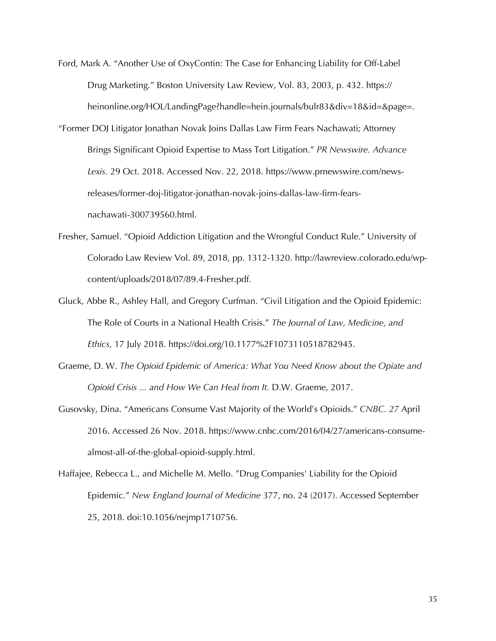- Ford, Mark A. "Another Use of OxyContin: The Case for Enhancing Liability for Off-Label Drug Marketing." Boston University Law Review, Vol. 83, 2003, p. 432. https:// heinonline.org/HOL/LandingPage?handle=hein.journals/bulr83&div=18&id=&page=.
- "Former DOJ Litigator Jonathan Novak Joins Dallas Law Firm Fears Nachawati; Attorney Brings Significant Opioid Expertise to Mass Tort Litigation." *PR Newswire. Advance Lexis.* 29 Oct. 2018. Accessed Nov. 22, 2018. https://www.prnewswire.com/newsreleases/former-doj-litigator-jonathan-novak-joins-dallas-law-firm-fearsnachawati-300739560.html.
- Fresher, Samuel. "Opioid Addiction Litigation and the Wrongful Conduct Rule." University of Colorado Law Review Vol. 89, 2018, pp. 1312-1320. http://lawreview.colorado.edu/wpcontent/uploads/2018/07/89.4-Fresher.pdf.
- Gluck, Abbe R., Ashley Hall, and Gregory Curfman. "Civil Litigation and the Opioid Epidemic: The Role of Courts in a National Health Crisis." *The Journal of Law, Medicine, and Ethics,* 17 July 2018. https://doi.org/10.1177%2F1073110518782945.
- Graeme, D. W. *The Opioid Epidemic of America: What You Need Know about the Opiate and Opioid Crisis ... and How We Can Heal from It.* D.W. Graeme, 2017.
- Gusovsky, Dina. "Americans Consume Vast Majority of the World's Opioids." *CNBC. 27* April 2016. Accessed 26 Nov. 2018. https://www.cnbc.com/2016/04/27/americans-consumealmost-all-of-the-global-opioid-supply.html.

Haffajee, Rebecca L., and Michelle M. Mello. "Drug Companies' Liability for the Opioid Epidemic." *New England Journal of Medicine* 377, no. 24 (2017). Accessed September 25, 2018. doi:10.1056/nejmp1710756.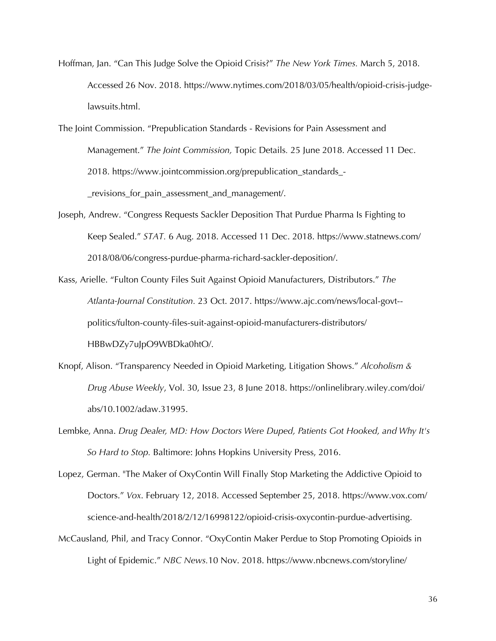Hoffman, Jan. "Can This Judge Solve the Opioid Crisis?" *The New York Times.* March 5, 2018. Accessed 26 Nov. 2018. https://www.nytimes.com/2018/03/05/health/opioid-crisis-judgelawsuits.html.

The Joint Commission. "Prepublication Standards - Revisions for Pain Assessment and Management." *The Joint Commission,* Topic Details*.* 25 June 2018. Accessed 11 Dec. 2018. https://www.jointcommission.org/prepublication\_standards\_- \_revisions\_for\_pain\_assessment\_and\_management/.

- Joseph, Andrew. "Congress Requests Sackler Deposition That Purdue Pharma Is Fighting to Keep Sealed." *STAT.* 6 Aug. 2018. Accessed 11 Dec. 2018. https://www.statnews.com/ 2018/08/06/congress-purdue-pharma-richard-sackler-deposition/.
- Kass, Arielle. "Fulton County Files Suit Against Opioid Manufacturers, Distributors." *The Atlanta-Journal Constitution.* 23 Oct. 2017. https://www.ajc.com/news/local-govt- politics/fulton-county-files-suit-against-opioid-manufacturers-distributors/ HBBwDZy7uJpO9WBDka0htO/.
- Knopf, Alison. "Transparency Needed in Opioid Marketing, Litigation Shows." *Alcoholism & Drug Abuse Weekly*, Vol. 30, Issue 23, 8 June 2018. https://onlinelibrary.wiley.com/doi/ abs/10.1002/adaw.31995.
- Lembke, Anna. *Drug Dealer, MD: How Doctors Were Duped, Patients Got Hooked, and Why It's So Hard to Stop.* Baltimore: Johns Hopkins University Press, 2016.
- Lopez, German. "The Maker of OxyContin Will Finally Stop Marketing the Addictive Opioid to Doctors." *Vox*. February 12, 2018. Accessed September 25, 2018. https://www.vox.com/ science-and-health/2018/2/12/16998122/opioid-crisis-oxycontin-purdue-advertising.
- McCausland, Phil, and Tracy Connor. "OxyContin Maker Perdue to Stop Promoting Opioids in Light of Epidemic." *NBC News.*10 Nov. 2018. https://www.nbcnews.com/storyline/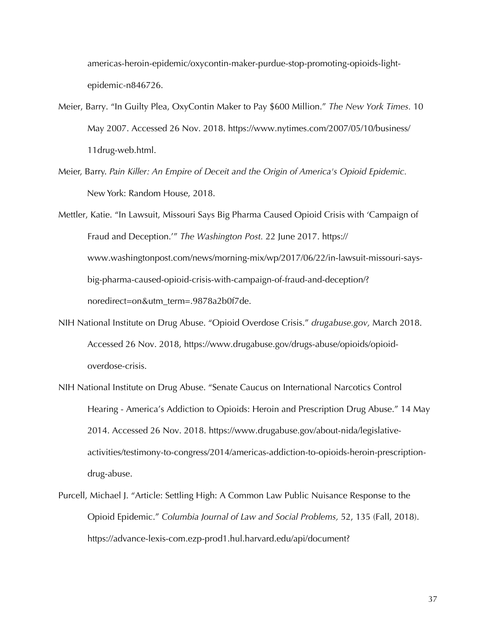americas-heroin-epidemic/oxycontin-maker-purdue-stop-promoting-opioids-lightepidemic-n846726.

- Meier, Barry. "In Guilty Plea, OxyContin Maker to Pay \$600 Million." *The New York Times.* 10 May 2007. Accessed 26 Nov. 2018. https://www.nytimes.com/2007/05/10/business/ 11drug-web.html.
- Meier, Barry. *Pain Killer: An Empire of Deceit and the Origin of America's Opioid Epidemic.* New York: Random House, 2018.
- Mettler, Katie. "In Lawsuit, Missouri Says Big Pharma Caused Opioid Crisis with 'Campaign of Fraud and Deception.'" *The Washington Post.* 22 June 2017. https:// www.washingtonpost.com/news/morning-mix/wp/2017/06/22/in-lawsuit-missouri-saysbig-pharma-caused-opioid-crisis-with-campaign-of-fraud-and-deception/? noredirect=on&utm\_term=.9878a2b0f7de.
- NIH National Institute on Drug Abuse. "Opioid Overdose Crisis." *drugabuse.gov,* March 2018. Accessed 26 Nov. 2018, https://www.drugabuse.gov/drugs-abuse/opioids/opioidoverdose-crisis.
- NIH National Institute on Drug Abuse. "Senate Caucus on International Narcotics Control Hearing - America's Addiction to Opioids: Heroin and Prescription Drug Abuse." 14 May 2014. Accessed 26 Nov. 2018. https://www.drugabuse.gov/about-nida/legislativeactivities/testimony-to-congress/2014/americas-addiction-to-opioids-heroin-prescriptiondrug-abuse.
- Purcell, Michael J. "Article: Settling High: A Common Law Public Nuisance Response to the Opioid Epidemic." *Columbia Journal of Law and Social Problems,* 52, 135 (Fall, 2018). https://advance-lexis-com.ezp-prod1.hul.harvard.edu/api/document?